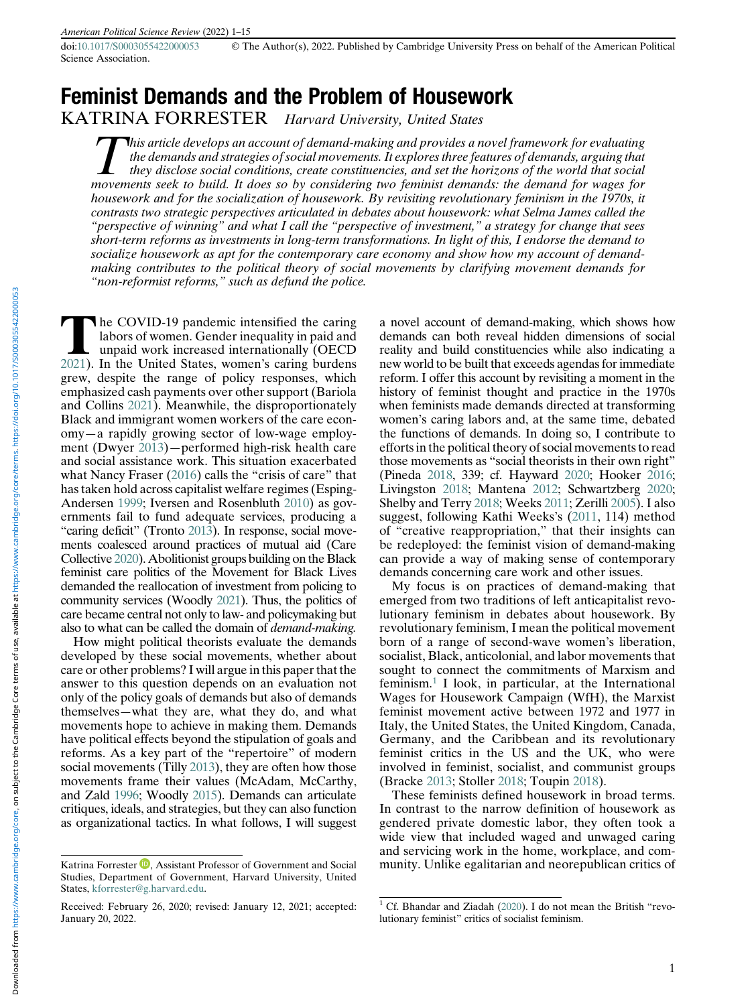# Feminist Demands and the Problem of Housework

KATRINA FORRESTER Harvard University, United States

This article develops an account of demand-making and provides a novel framework for evaluating the demands and strategies of social movements. It explores three features of demands, arguing that they disclose social conditions, create constituencies, and set the horizons of the world that social movements seek to build. It does so by considering two feminist demands: the demand for wages for housework and for the socialization of housework. By revisiting revolutionary feminism in the 1970s, it contrasts two strategic perspectives articulated in debates about housework: what Selma James called the "perspective of winning" and what I call the "perspective of investment," a strategy for change that sees short-term reforms as investments in long-term transformations. In light of this, I endorse the demand to socialize housework as apt for the contemporary care economy and show how my account of demandmaking contributes to the political theory of social movements by clarifying movement demands for "non-reformist reforms," such as defund the police.

The COVID-19 pandemic intensified the caring<br>labors of women. Gender inequality in paid and<br>unpaid work increased internationally (OECD<br>2021) In the United States women's caring burdens labors of women. Gender inequality in paid and [2021\)](#page-14-0). In the United States, women's caring burdens grew, despite the range of policy responses, which emphasized cash payments over other support (Bariola and Collins [2021\)](#page-12-0). Meanwhile, the disproportionately Black and immigrant women workers of the care economy—a rapidly growing sector of low-wage employment (Dwyer [2013](#page-12-1))—performed high-risk health care and social assistance work. This situation exacerbated what Nancy Fraser ([2016\)](#page-13-0) calls the "crisis of care" that has taken hold across capitalist welfare regimes (Esping-Andersen [1999](#page-12-2); Iversen and Rosenbluth [2010](#page-13-1)) as governments fail to fund adequate services, producing a "caring deficit" (Tronto [2013](#page-14-1)). In response, social movements coalesced around practices of mutual aid (Care Collective [2020\)](#page-12-3). Abolitionist groups building on the Black feminist care politics of the Movement for Black Lives demanded the reallocation of investment from policing to community services (Woodly [2021\)](#page-14-2). Thus, the politics of care became central not only to law- and policymaking but also to what can be called the domain of demand-making.

How might political theorists evaluate the demands developed by these social movements, whether about care or other problems? I will argue in this paper that the answer to this question depends on an evaluation not only of the policy goals of demands but also of demands themselves—what they are, what they do, and what movements hope to achieve in making them. Demands have political effects beyond the stipulation of goals and reforms. As a key part of the "repertoire" of modern social movements (Tilly [2013](#page-14-3)), they are often how those movements frame their values (McAdam, McCarthy, and Zald [1996](#page-13-2); Woodly [2015](#page-14-4)). Demands can articulate critiques, ideals, and strategies, but they can also function as organizational tactics. In what follows, I will suggest a novel account of demand-making, which shows how demands can both reveal hidden dimensions of social reality and build constituencies while also indicating a new world to be built that exceeds agendas for immediate reform. I offer this account by revisiting a moment in the history of feminist thought and practice in the 1970s when feminists made demands directed at transforming women's caring labors and, at the same time, debated the functions of demands. In doing so, I contribute to efforts in the political theory of social movements to read those movements as "social theorists in their own right" (Pineda [2018](#page-14-5), 339; cf. Hayward [2020](#page-13-2); Hooker [2016;](#page-13-3) Livingston [2018;](#page-13-4) Mantena [2012](#page-13-5); Schwartzberg [2020;](#page-14-6) Shelby and Terry [2018](#page-14-7); Weeks [2011](#page-14-8); Zerilli [2005\)](#page-14-9). I also suggest, following Kathi Weeks's ([2011,](#page-14-8) 114) method of "creative reappropriation," that their insights can be redeployed: the feminist vision of demand-making can provide a way of making sense of contemporary demands concerning care work and other issues.

My focus is on practices of demand-making that emerged from two traditions of left anticapitalist revolutionary feminism in debates about housework. By revolutionary feminism, I mean the political movement born of a range of second-wave women's liberation, socialist, Black, anticolonial, and labor movements that sought to connect the commitments of Marxism and feminism.[1](#page-0-0) I look, in particular, at the International Wages for Housework Campaign (WfH), the Marxist feminist movement active between 1972 and 1977 in Italy, the United States, the United Kingdom, Canada, Germany, and the Caribbean and its revolutionary feminist critics in the US and the UK, who were involved in feminist, socialist, and communist groups (Bracke [2013](#page-12-4); Stoller [2018](#page-14-10); Toupin [2018\)](#page-14-11).

These feminists defined housework in broad terms. In contrast to the narrow definition of housework as gendered private domestic labor, they often took a wide view that included waged and unwaged caring and servicing work in the home, workplace, and com-Katrina Forrester **D**, Assistant Professor of Government and Social munity. Unlike egalitarian and neorepublican critics of

Studies, Department of Government, Harvard University, United States, [kforrester@g.harvard.edu.](mailto:kforrester@g.harvard.edu)

<span id="page-0-0"></span>Received: February 26, 2020; revised: January 12, 2021; accepted: January 20, 2022.

 $1$  Cf. Bhandar and Ziadah ([2020\)](#page-12-5). I do not mean the British "revolutionary feminist" critics of socialist feminism.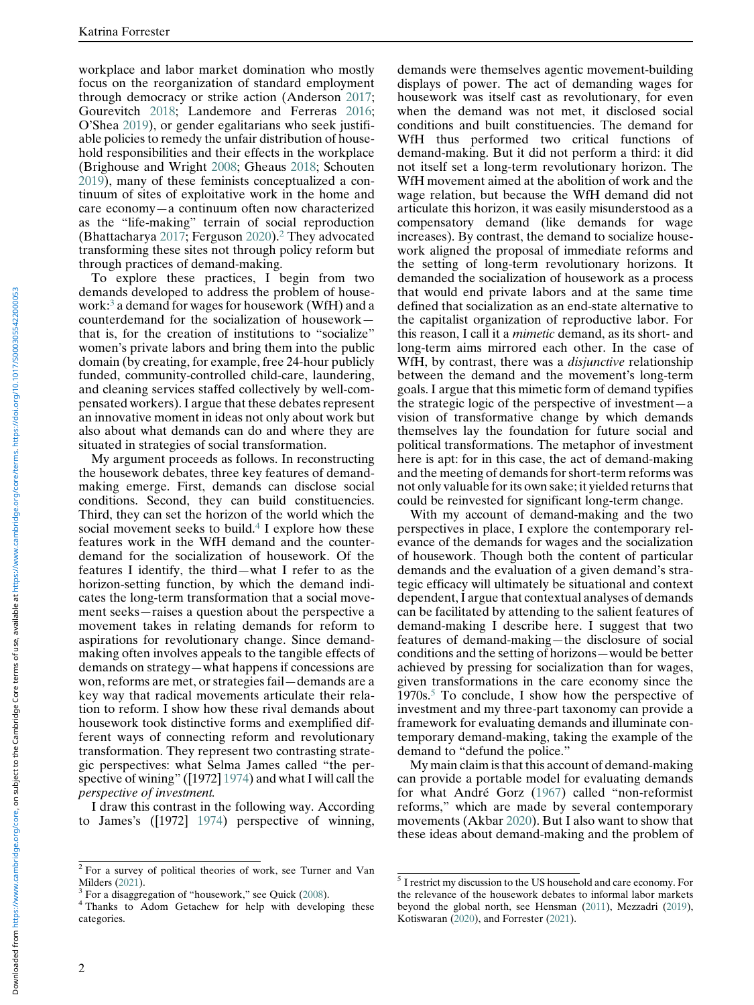workplace and labor market domination who mostly focus on the reorganization of standard employment through democracy or strike action (Anderson [2017;](#page-12-6) Gourevitch [2018](#page-13-6); Landemore and Ferreras [2016;](#page-13-7) O'Shea [2019\)](#page-14-12), or gender egalitarians who seek justifiable policies to remedy the unfair distribution of household responsibilities and their effects in the workplace (Brighouse and Wright [2008;](#page-12-7) Gheaus [2018](#page-13-7); Schouten [2019\)](#page-14-13), many of these feminists conceptualized a continuum of sites of exploitative work in the home and care economy—a continuum often now characterized as the "life-making" terrain of social reproduction (Bhattacharya [2017](#page-12-8); Ferguson [2020\)](#page-13-8).[2](#page-1-0) They advocated transforming these sites not through policy reform but through practices of demand-making.

To explore these practices, I begin from two demands developed to address the problem of housework:[3](#page-1-1) a demand for wages for housework (WfH) and a counterdemand for the socialization of housework that is, for the creation of institutions to "socialize" women's private labors and bring them into the public domain (by creating, for example, free 24-hour publicly funded, community-controlled child-care, laundering, and cleaning services staffed collectively by well-compensated workers). I argue that these debates represent an innovative moment in ideas not only about work but also about what demands can do and where they are situated in strategies of social transformation.

My argument proceeds as follows. In reconstructing the housework debates, three key features of demandmaking emerge. First, demands can disclose social conditions. Second, they can build constituencies. Third, they can set the horizon of the world which the social movement seeks to build.<sup>[4](#page-1-2)</sup> I explore how these features work in the WfH demand and the counterdemand for the socialization of housework. Of the features I identify, the third—what I refer to as the horizon-setting function, by which the demand indicates the long-term transformation that a social movement seeks—raises a question about the perspective a movement takes in relating demands for reform to aspirations for revolutionary change. Since demandmaking often involves appeals to the tangible effects of demands on strategy—what happens if concessions are won, reforms are met, or strategies fail—demands are a key way that radical movements articulate their relation to reform. I show how these rival demands about housework took distinctive forms and exemplified different ways of connecting reform and revolutionary transformation. They represent two contrasting strategic perspectives: what Selma James called "the perspective of wining" ([1972] [1974](#page-13-9)) and what I will call the perspective of investment.

I draw this contrast in the following way. According to James's ([1972] [1974](#page-13-9)) perspective of winning, demands were themselves agentic movement-building displays of power. The act of demanding wages for housework was itself cast as revolutionary, for even when the demand was not met, it disclosed social conditions and built constituencies. The demand for WfH thus performed two critical functions of demand-making. But it did not perform a third: it did not itself set a long-term revolutionary horizon. The WfH movement aimed at the abolition of work and the wage relation, but because the WfH demand did not articulate this horizon, it was easily misunderstood as a compensatory demand (like demands for wage increases). By contrast, the demand to socialize housework aligned the proposal of immediate reforms and the setting of long-term revolutionary horizons. It demanded the socialization of housework as a process that would end private labors and at the same time defined that socialization as an end-state alternative to the capitalist organization of reproductive labor. For this reason, I call it a mimetic demand, as its short- and long-term aims mirrored each other. In the case of WfH, by contrast, there was a *disjunctive* relationship between the demand and the movement's long-term goals. I argue that this mimetic form of demand typifies the strategic logic of the perspective of investment—a vision of transformative change by which demands themselves lay the foundation for future social and political transformations. The metaphor of investment here is apt: for in this case, the act of demand-making and the meeting of demands for short-term reforms was not only valuable for its own sake; it yielded returns that could be reinvested for significant long-term change.

With my account of demand-making and the two perspectives in place, I explore the contemporary relevance of the demands for wages and the socialization of housework. Though both the content of particular demands and the evaluation of a given demand's strategic efficacy will ultimately be situational and context dependent, I argue that contextual analyses of demands can be facilitated by attending to the salient features of demand-making I describe here. I suggest that two features of demand-making—the disclosure of social conditions and the setting of horizons—would be better achieved by pressing for socialization than for wages, given transformations in the care economy since the  $1970s<sup>5</sup>$  To conclude, I show how the perspective of investment and my three-part taxonomy can provide a framework for evaluating demands and illuminate contemporary demand-making, taking the example of the demand to "defund the police."

My main claim is that this account of demand-making can provide a portable model for evaluating demands for what André Gorz [\(1967](#page-13-10)) called "non-reformist reforms," which are made by several contemporary movements (Akbar [2020\)](#page-12-9). But I also want to show that these ideas about demand-making and the problem of

<span id="page-1-0"></span><sup>2</sup> For a survey of political theories of work, see Turner and Van

<span id="page-1-3"></span><span id="page-1-2"></span><span id="page-1-1"></span>Milders ([2021](#page-14-14)).<br><sup>3</sup> For a disaggregation of "housework," see Quick ([2008\)](#page-14-15).<br><sup>4</sup> Thanks to Adom Getachew for help with developing these categories.

<sup>5</sup> I restrict my discussion to the US household and care economy. For the relevance of the housework debates to informal labor markets beyond the global north, see Hensman [\(2011](#page-13-11)), Mezzadri [\(2019](#page-13-12)), Kotiswaran ([2020\)](#page-13-13), and Forrester [\(2021](#page-13-1)).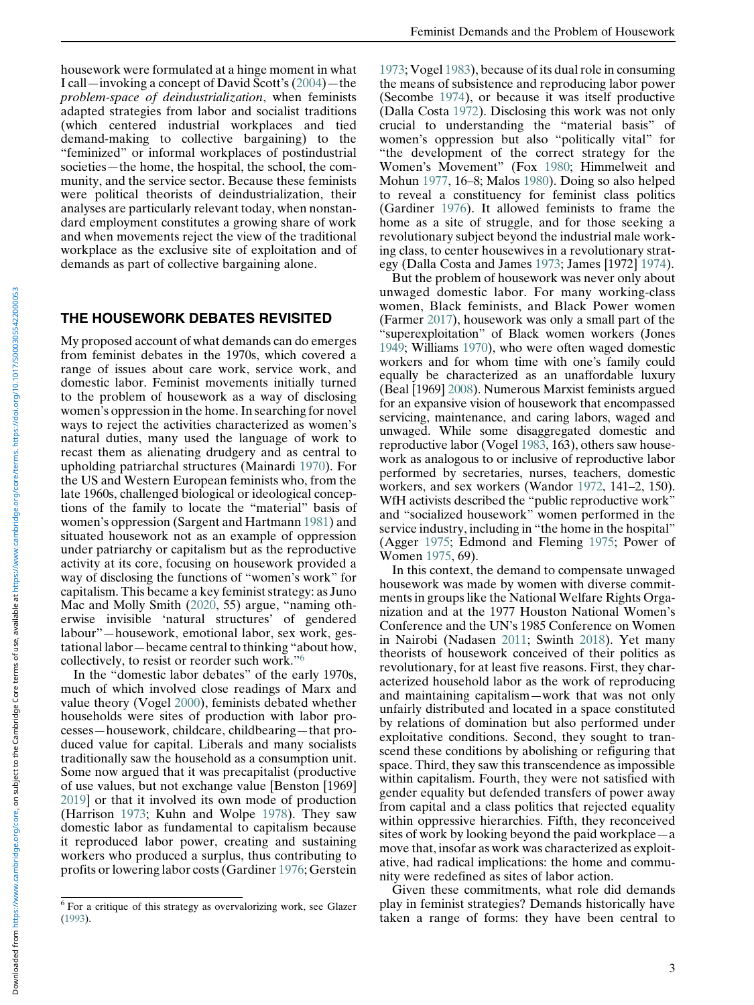housework were formulated at a hinge moment in what I call—invoking a concept of David Scott's ([2004](#page-14-16))—the problem-space of deindustrialization, when feminists adapted strategies from labor and socialist traditions (which centered industrial workplaces and tied demand-making to collective bargaining) to the "feminized" or informal workplaces of postindustrial societies—the home, the hospital, the school, the community, and the service sector. Because these feminists were political theorists of deindustrialization, their analyses are particularly relevant today, when nonstandard employment constitutes a growing share of work and when movements reject the view of the traditional workplace as the exclusive site of exploitation and of demands as part of collective bargaining alone.

## THE HOUSEWORK DEBATES REVISITED

My proposed account of what demands can do emerges from feminist debates in the 1970s, which covered a range of issues about care work, service work, and domestic labor. Feminist movements initially turned to the problem of housework as a way of disclosing women's oppression in the home. In searching for novel ways to reject the activities characterized as women's natural duties, many used the language of work to recast them as alienating drudgery and as central to upholding patriarchal structures (Mainardi [1970](#page-13-14)). For the US and Western European feminists who, from the late 1960s, challenged biological or ideological conceptions of the family to locate the "material" basis of women's oppression (Sargent and Hartmann [1981](#page-14-17)) and situated housework not as an example of oppression under patriarchy or capitalism but as the reproductive activity at its core, focusing on housework provided a way of disclosing the functions of "women's work" for capitalism. This became a key feminist strategy: as Juno Mac and Molly Smith [\(2020](#page-14-18), 55) argue, "naming otherwise invisible 'natural structures' of gendered labour"—housework, emotional labor, sex work, gestational labor—became central to thinking "about how, collectively, to resist or reorder such work."[6](#page-2-0)

In the "domestic labor debates" of the early 1970s, much of which involved close readings of Marx and value theory (Vogel [2000\)](#page-14-19), feminists debated whether households were sites of production with labor processes—housework, childcare, childbearing—that produced value for capital. Liberals and many socialists traditionally saw the household as a consumption unit. Some now argued that it was precapitalist (productive of use values, but not exchange value [Benston [1969] [2019\]](#page-12-10) or that it involved its own mode of production (Harrison [1973](#page-13-15); Kuhn and Wolpe [1978](#page-13-16)). They saw domestic labor as fundamental to capitalism because it reproduced labor power, creating and sustaining workers who produced a surplus, thus contributing to profits or lowering labor costs (Gardiner [1976](#page-13-17); Gerstein [1973;](#page-13-18) Vogel [1983\)](#page-14-20), because of its dual role in consuming the means of subsistence and reproducing labor power (Secombe [1974](#page-14-2)), or because it was itself productive (Dalla Costa [1972](#page-12-11)). Disclosing this work was not only crucial to understanding the "material basis" of women's oppression but also "politically vital" for "the development of the correct strategy for the Women's Movement" (Fox [1980;](#page-13-19) Himmelweit and Mohun [1977,](#page-13-20) 16–8; Malos [1980](#page-13-21)). Doing so also helped to reveal a constituency for feminist class politics (Gardiner [1976](#page-13-17)). It allowed feminists to frame the home as a site of struggle, and for those seeking a revolutionary subject beyond the industrial male working class, to center housewives in a revolutionary strategy (Dalla Costa and James [1973;](#page-12-12) James [1972] [1974\)](#page-13-9).

But the problem of housework was never only about unwaged domestic labor. For many working-class women, Black feminists, and Black Power women (Farmer [2017](#page-12-13)), housework was only a small part of the "superexploitation" of Black women workers (Jones [1949](#page-13-22); Williams [1970](#page-14-21)), who were often waged domestic workers and for whom time with one's family could equally be characterized as an unaffordable luxury (Beal [1969] [2008\)](#page-12-14). Numerous Marxist feminists argued for an expansive vision of housework that encompassed servicing, maintenance, and caring labors, waged and unwaged. While some disaggregated domestic and reproductive labor (Vogel [1983,](#page-14-20) 163), others saw housework as analogous to or inclusive of reproductive labor performed by secretaries, nurses, teachers, domestic workers, and sex workers (Wandor [1972,](#page-14-22) 141–2, 150). WfH activists described the "public reproductive work" and "socialized housework" women performed in the service industry, including in "the home in the hospital" (Agger [1975](#page-12-15); Edmond and Fleming [1975;](#page-12-16) Power of Women [1975,](#page-14-23) 69).

In this context, the demand to compensate unwaged housework was made by women with diverse commitments in groups like the National Welfare Rights Organization and at the 1977 Houston National Women's Conference and the UN's 1985 Conference on Women in Nairobi (Nadasen [2011](#page-14-24); Swinth [2018\)](#page-14-25). Yet many theorists of housework conceived of their politics as revolutionary, for at least five reasons. First, they characterized household labor as the work of reproducing and maintaining capitalism—work that was not only unfairly distributed and located in a space constituted by relations of domination but also performed under exploitative conditions. Second, they sought to transcend these conditions by abolishing or refiguring that space. Third, they saw this transcendence as impossible within capitalism. Fourth, they were not satisfied with gender equality but defended transfers of power away from capital and a class politics that rejected equality within oppressive hierarchies. Fifth, they reconceived sites of work by looking beyond the paid workplace—a move that, insofar as work was characterized as exploitative, had radical implications: the home and community were redefined as sites of labor action.

Given these commitments, what role did demands play in feminist strategies? Demands historically have taken a range of forms: they have been central to

<span id="page-2-0"></span><sup>6</sup> For a critique of this strategy as overvalorizing work, see Glazer ([1993\)](#page-13-23).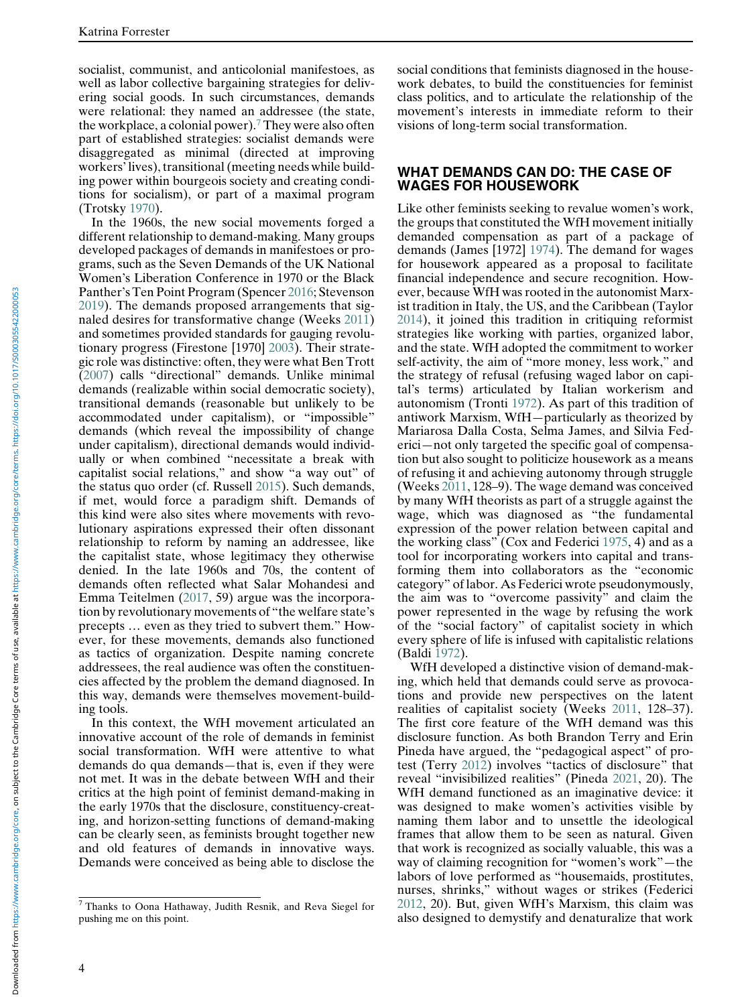socialist, communist, and anticolonial manifestoes, as well as labor collective bargaining strategies for delivering social goods. In such circumstances, demands were relational: they named an addressee (the state, the workplace, a colonial power).[7](#page-3-0) They were also often part of established strategies: socialist demands were disaggregated as minimal (directed at improving workers' lives), transitional (meeting needs while building power within bourgeois society and creating conditions for socialism), or part of a maximal program (Trotsky [1970\)](#page-14-26).

In the 1960s, the new social movements forged a different relationship to demand-making. Many groups developed packages of demands in manifestoes or programs, such as the Seven Demands of the UK National Women's Liberation Conference in 1970 or the Black Panther's Ten Point Program (Spencer [2016;](#page-14-27) Stevenson [2019\)](#page-14-28). The demands proposed arrangements that signaled desires for transformative change (Weeks [2011](#page-14-8)) and sometimes provided standards for gauging revolutionary progress (Firestone [1970] [2003\)](#page-13-24). Their strategic role was distinctive: often, they were what Ben Trott  $(2007)$  $(2007)$  calls "directional" demands. Unlike minimal demands (realizable within social democratic society), transitional demands (reasonable but unlikely to be accommodated under capitalism), or "impossible" demands (which reveal the impossibility of change under capitalism), directional demands would individually or when combined "necessitate a break with capitalist social relations," and show "a way out" of the status quo order (cf. Russell [2015\)](#page-14-29). Such demands, if met, would force a paradigm shift. Demands of this kind were also sites where movements with revolutionary aspirations expressed their often dissonant relationship to reform by naming an addressee, like the capitalist state, whose legitimacy they otherwise denied. In the late 1960s and 70s, the content of demands often reflected what Salar Mohandesi and Emma Teitelmen [\(2017](#page-12-8), 59) argue was the incorporation by revolutionary movements of "the welfare state's precepts … even as they tried to subvert them." However, for these movements, demands also functioned as tactics of organization. Despite naming concrete addressees, the real audience was often the constituencies affected by the problem the demand diagnosed. In this way, demands were themselves movement-building tools.

In this context, the WfH movement articulated an innovative account of the role of demands in feminist social transformation. WfH were attentive to what demands do qua demands—that is, even if they were not met. It was in the debate between WfH and their critics at the high point of feminist demand-making in the early 1970s that the disclosure, constituency-creating, and horizon-setting functions of demand-making can be clearly seen, as feminists brought together new and old features of demands in innovative ways. Demands were conceived as being able to disclose the

social conditions that feminists diagnosed in the housework debates, to build the constituencies for feminist class politics, and to articulate the relationship of the movement's interests in immediate reform to their visions of long-term social transformation.

## WHAT DEMANDS CAN DO: THE CASE OF WAGES FOR HOUSEWORK

Like other feminists seeking to revalue women's work, the groups that constituted the WfH movement initially demanded compensation as part of a package of demands (James [1972] [1974](#page-13-9)). The demand for wages for housework appeared as a proposal to facilitate financial independence and secure recognition. However, because WfH was rooted in the autonomist Marxist tradition in Italy, the US, and the Caribbean (Taylor [2014\)](#page-14-30), it joined this tradition in critiquing reformist strategies like working with parties, organized labor, and the state. WfH adopted the commitment to worker self-activity, the aim of "more money, less work," and the strategy of refusal (refusing waged labor on capital's terms) articulated by Italian workerism and autonomism (Tronti [1972](#page-14-31)). As part of this tradition of antiwork Marxism, WfH—particularly as theorized by Mariarosa Dalla Costa, Selma James, and Silvia Federici—not only targeted the specific goal of compensation but also sought to politicize housework as a means of refusing it and achieving autonomy through struggle (Weeks [2011](#page-14-8), 128–9). The wage demand was conceived by many WfH theorists as part of a struggle against the wage, which was diagnosed as "the fundamental expression of the power relation between capital and the working class" (Cox and Federici [1975,](#page-12-17) 4) and as a tool for incorporating workers into capital and transforming them into collaborators as the "economic category" of labor. As Federici wrote pseudonymously, the aim was to "overcome passivity" and claim the power represented in the wage by refusing the work of the "social factory" of capitalist society in which every sphere of life is infused with capitalistic relations (Baldi [1972\)](#page-12-18).

WfH developed a distinctive vision of demand-making, which held that demands could serve as provocations and provide new perspectives on the latent realities of capitalist society (Weeks [2011](#page-14-8), 128–37). The first core feature of the WfH demand was this disclosure function. As both Brandon Terry and Erin Pineda have argued, the "pedagogical aspect" of protest (Terry [2012\)](#page-14-32) involves "tactics of disclosure" that reveal "invisibilized realities" (Pineda [2021,](#page-14-33) 20). The WfH demand functioned as an imaginative device: it was designed to make women's activities visible by naming them labor and to unsettle the ideological frames that allow them to be seen as natural. Given that work is recognized as socially valuable, this was a way of claiming recognition for "women's work"—the labors of love performed as "housemaids, prostitutes, nurses, shrinks," without wages or strikes (Federici [2012,](#page-12-19) 20). But, given WfH's Marxism, this claim was also designed to demystify and denaturalize that work

<span id="page-3-0"></span><sup>7</sup> Thanks to Oona Hathaway, Judith Resnik, and Reva Siegel for pushing me on this point.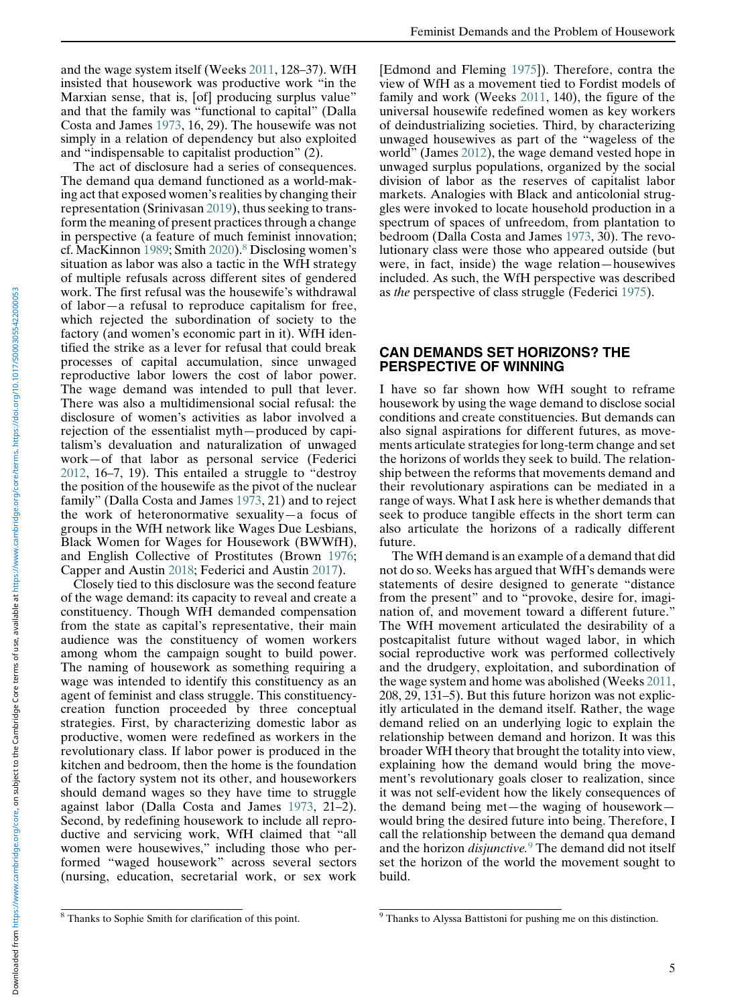and the wage system itself (Weeks [2011](#page-14-8), 128–37). WfH insisted that housework was productive work "in the Marxian sense, that is, [of] producing surplus value" and that the family was "functional to capital" (Dalla Costa and James [1973,](#page-12-12) 16, 29). The housewife was not simply in a relation of dependency but also exploited and "indispensable to capitalist production" (2).

The act of disclosure had a series of consequences. The demand qua demand functioned as a world-making act that exposed women's realities by changing their representation (Srinivasan [2019\)](#page-14-34), thus seeking to transform the meaning of present practices through a change in perspective (a feature of much feminist innovation; cf. MacKinnon [1989;](#page-13-25) Smith [2020\)](#page-14-18).[8](#page-4-0) Disclosing women's situation as labor was also a tactic in the WfH strategy of multiple refusals across different sites of gendered work. The first refusal was the housewife's withdrawal of labor—a refusal to reproduce capitalism for free, which rejected the subordination of society to the factory (and women's economic part in it). WfH identified the strike as a lever for refusal that could break processes of capital accumulation, since unwaged reproductive labor lowers the cost of labor power. The wage demand was intended to pull that lever. There was also a multidimensional social refusal: the disclosure of women's activities as labor involved a rejection of the essentialist myth—produced by capitalism's devaluation and naturalization of unwaged work—of that labor as personal service (Federici [2012,](#page-12-19) 16–7, 19). This entailed a struggle to "destroy the position of the housewife as the pivot of the nuclear family" (Dalla Costa and James [1973](#page-12-12), 21) and to reject the work of heteronormative sexuality—a focus of groups in the WfH network like Wages Due Lesbians, Black Women for Wages for Housework (BWWfH), and English Collective of Prostitutes (Brown [1976](#page-12-20); Capper and Austin [2018;](#page-12-21) Federici and Austin [2017](#page-13-3)).

Closely tied to this disclosure was the second feature of the wage demand: its capacity to reveal and create a constituency. Though WfH demanded compensation from the state as capital's representative, their main audience was the constituency of women workers among whom the campaign sought to build power. The naming of housework as something requiring a wage was intended to identify this constituency as an agent of feminist and class struggle. This constituencycreation function proceeded by three conceptual strategies. First, by characterizing domestic labor as productive, women were redefined as workers in the revolutionary class. If labor power is produced in the kitchen and bedroom, then the home is the foundation of the factory system not its other, and houseworkers should demand wages so they have time to struggle against labor (Dalla Costa and James [1973,](#page-12-12) 21–2). Second, by redefining housework to include all reproductive and servicing work, WfH claimed that "all women were housewives," including those who performed "waged housework" across several sectors (nursing, education, secretarial work, or sex work

[Edmond and Fleming [1975\]](#page-12-16)). Therefore, contra the view of WfH as a movement tied to Fordist models of family and work (Weeks [2011](#page-14-8), 140), the figure of the universal housewife redefined women as key workers of deindustrializing societies. Third, by characterizing unwaged housewives as part of the "wageless of the world" (James [2012\)](#page-13-26), the wage demand vested hope in unwaged surplus populations, organized by the social division of labor as the reserves of capitalist labor markets. Analogies with Black and anticolonial struggles were invoked to locate household production in a spectrum of spaces of unfreedom, from plantation to bedroom (Dalla Costa and James [1973,](#page-12-12) 30). The revolutionary class were those who appeared outside (but were, in fact, inside) the wage relation—housewives included. As such, the WfH perspective was described as the perspective of class struggle (Federici [1975](#page-12-22)).

#### CAN DEMANDS SET HORIZONS? THE PERSPECTIVE OF WINNING

I have so far shown how WfH sought to reframe housework by using the wage demand to disclose social conditions and create constituencies. But demands can also signal aspirations for different futures, as movements articulate strategies for long-term change and set the horizons of worlds they seek to build. The relationship between the reforms that movements demand and their revolutionary aspirations can be mediated in a range of ways. What I ask here is whether demands that seek to produce tangible effects in the short term can also articulate the horizons of a radically different future.

The WfH demand is an example of a demand that did not do so. Weeks has argued that WfH's demands were statements of desire designed to generate "distance from the present" and to "provoke, desire for, imagination of, and movement toward a different future." The WfH movement articulated the desirability of a postcapitalist future without waged labor, in which social reproductive work was performed collectively and the drudgery, exploitation, and subordination of the wage system and home was abolished (Weeks [2011,](#page-14-8) 208, 29, 131–5). But this future horizon was not explicitly articulated in the demand itself. Rather, the wage demand relied on an underlying logic to explain the relationship between demand and horizon. It was this broader WfH theory that brought the totality into view, explaining how the demand would bring the movement's revolutionary goals closer to realization, since it was not self-evident how the likely consequences of the demand being met—the waging of housework would bring the desired future into being. Therefore, I call the relationship between the demand qua demand and the horizon *disjunctive*.<sup>[9](#page-4-0)</sup> The demand did not itself set the horizon of the world the movement sought to build.

<span id="page-4-0"></span> $8$  Thanks to Sophie Smith for clarification of this point.  $9$  Thanks to Alyssa Battistoni for pushing me on this distinction.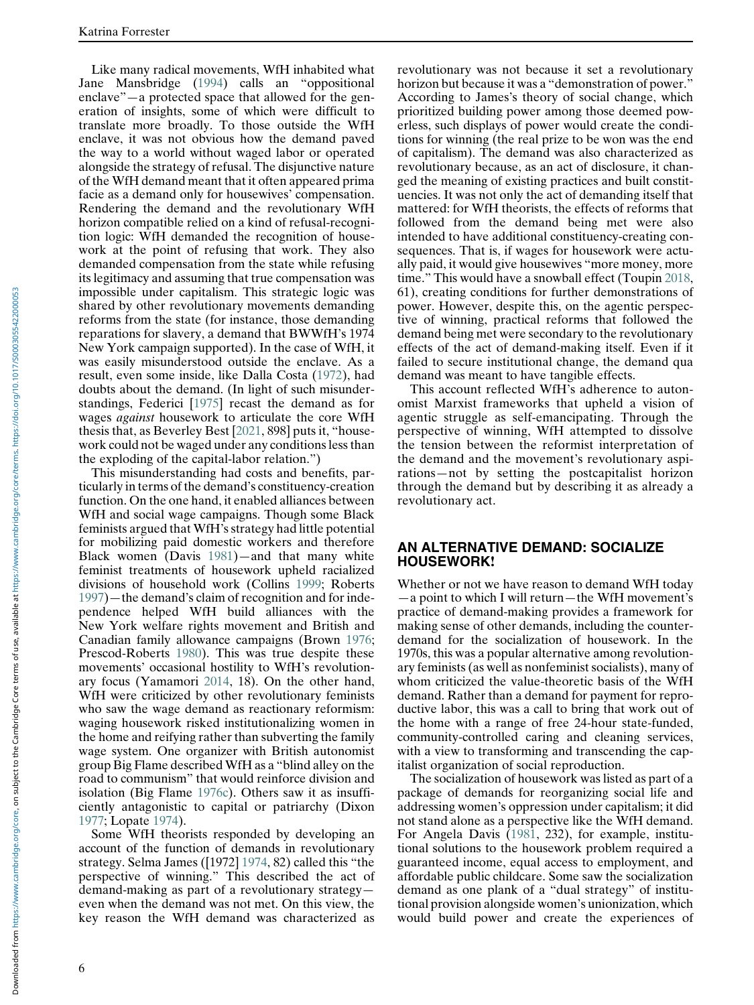Like many radical movements, WfH inhabited what Jane Mansbridge ([1994\)](#page-13-27) calls an "oppositional enclave"—a protected space that allowed for the generation of insights, some of which were difficult to translate more broadly. To those outside the WfH enclave, it was not obvious how the demand paved the way to a world without waged labor or operated alongside the strategy of refusal. The disjunctive nature of the WfH demand meant that it often appeared prima facie as a demand only for housewives' compensation. Rendering the demand and the revolutionary WfH horizon compatible relied on a kind of refusal-recognition logic: WfH demanded the recognition of housework at the point of refusing that work. They also demanded compensation from the state while refusing its legitimacy and assuming that true compensation was impossible under capitalism. This strategic logic was shared by other revolutionary movements demanding reforms from the state (for instance, those demanding reparations for slavery, a demand that BWWfH's 1974 New York campaign supported). In the case of WfH, it was easily misunderstood outside the enclave. As a result, even some inside, like Dalla Costa ([1972\)](#page-12-11), had doubts about the demand. (In light of such misunderstandings, Federici [[1975\]](#page-12-22) recast the demand as for wages against housework to articulate the core WfH thesis that, as Beverley Best [[2021,](#page-12-23) 898] puts it, "housework could not be waged under any conditions less than the exploding of the capital-labor relation.")

This misunderstanding had costs and benefits, particularly in terms of the demand's constituency-creation function. On the one hand, it enabled alliances between WfH and social wage campaigns. Though some Black feminists argued that WfH's strategy had little potential for mobilizing paid domestic workers and therefore Black women (Davis [1981\)](#page-12-24)—and that many white feminist treatments of housework upheld racialized divisions of household work (Collins [1999](#page-13-28); Roberts [1997\)](#page-14-35)—the demand's claim of recognition and for independence helped WfH build alliances with the New York welfare rights movement and British and Canadian family allowance campaigns (Brown [1976;](#page-12-20) Prescod-Roberts [1980\)](#page-14-36). This was true despite these movements' occasional hostility to WfH's revolutionary focus (Yamamori [2014,](#page-14-18) 18). On the other hand, WfH were criticized by other revolutionary feminists who saw the wage demand as reactionary reformism: waging housework risked institutionalizing women in the home and reifying rather than subverting the family wage system. One organizer with British autonomist group Big Flame described WfH as a "blind alley on the road to communism" that would reinforce division and isolation (Big Flame [1976c\)](#page-12-25). Others saw it as insufficiently antagonistic to capital or patriarchy (Dixon [1977;](#page-12-26) Lopate [1974\)](#page-13-29).

Some WfH theorists responded by developing an account of the function of demands in revolutionary strategy. Selma James ([1972] [1974,](#page-13-9) 82) called this "the perspective of winning." This described the act of demand-making as part of a revolutionary strategy even when the demand was not met. On this view, the key reason the WfH demand was characterized as

revolutionary was not because it set a revolutionary horizon but because it was a "demonstration of power." According to James's theory of social change, which prioritized building power among those deemed powerless, such displays of power would create the conditions for winning (the real prize to be won was the end of capitalism). The demand was also characterized as revolutionary because, as an act of disclosure, it changed the meaning of existing practices and built constituencies. It was not only the act of demanding itself that mattered: for WfH theorists, the effects of reforms that followed from the demand being met were also intended to have additional constituency-creating consequences. That is, if wages for housework were actually paid, it would give housewives "more money, more time." This would have a snowball effect (Toupin [2018,](#page-14-11) 61), creating conditions for further demonstrations of power. However, despite this, on the agentic perspective of winning, practical reforms that followed the demand being met were secondary to the revolutionary effects of the act of demand-making itself. Even if it failed to secure institutional change, the demand qua demand was meant to have tangible effects.

This account reflected WfH's adherence to autonomist Marxist frameworks that upheld a vision of agentic struggle as self-emancipating. Through the perspective of winning, WfH attempted to dissolve the tension between the reformist interpretation of the demand and the movement's revolutionary aspirations—not by setting the postcapitalist horizon through the demand but by describing it as already a revolutionary act.

## AN ALTERNATIVE DEMAND: SOCIALIZE HOUSEWORK!

Whether or not we have reason to demand WfH today —a point to which I will return—the WfH movement's practice of demand-making provides a framework for making sense of other demands, including the counterdemand for the socialization of housework. In the 1970s, this was a popular alternative among revolutionary feminists (as well as nonfeminist socialists), many of whom criticized the value-theoretic basis of the WfH demand. Rather than a demand for payment for reproductive labor, this was a call to bring that work out of the home with a range of free 24-hour state-funded, community-controlled caring and cleaning services, with a view to transforming and transcending the capitalist organization of social reproduction.

The socialization of housework was listed as part of a package of demands for reorganizing social life and addressing women's oppression under capitalism; it did not stand alone as a perspective like the WfH demand. For Angela Davis [\(1981](#page-12-24), 232), for example, institutional solutions to the housework problem required a guaranteed income, equal access to employment, and affordable public childcare. Some saw the socialization demand as one plank of a "dual strategy" of institutional provision alongside women's unionization, which would build power and create the experiences of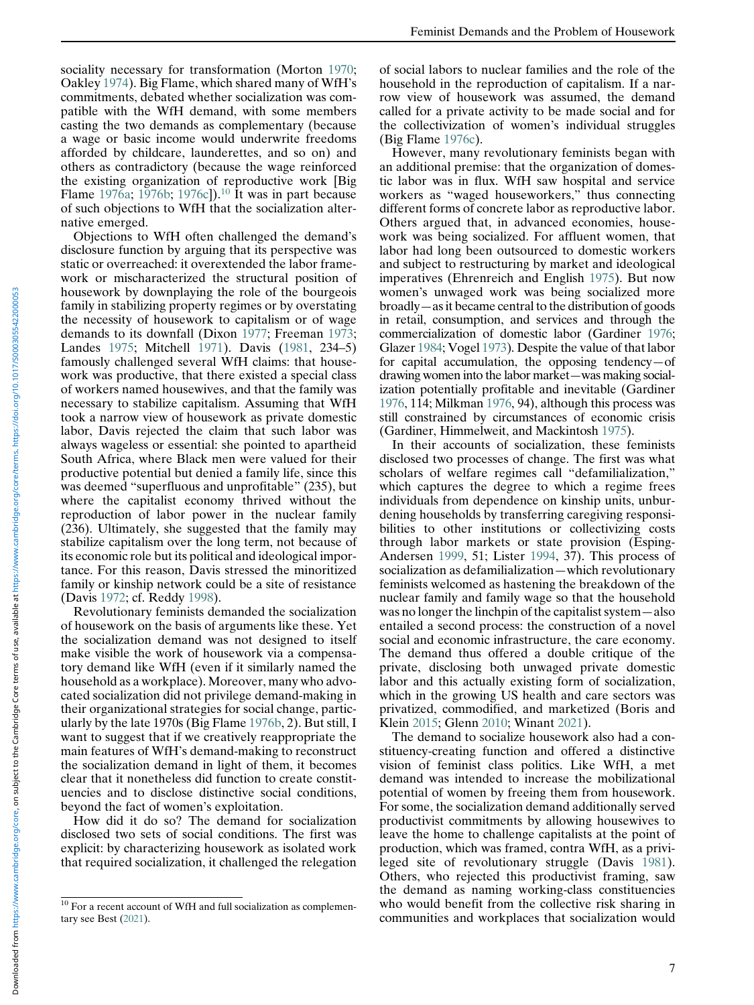sociality necessary for transformation (Morton [1970](#page-14-37); Oakley [1974](#page-14-38)). Big Flame, which shared many of WfH's commitments, debated whether socialization was compatible with the WfH demand, with some members casting the two demands as complementary (because a wage or basic income would underwrite freedoms afforded by childcare, launderettes, and so on) and others as contradictory (because the wage reinforced the existing organization of reproductive work [Big Flame [1976a;](#page-12-27) [1976b](#page-12-28); [1976c](#page-12-25)]).<sup>[10](#page-6-0)</sup> It was in part because of such objections to WfH that the socialization alternative emerged.

Objections to WfH often challenged the demand's disclosure function by arguing that its perspective was static or overreached: it overextended the labor framework or mischaracterized the structural position of housework by downplaying the role of the bourgeois family in stabilizing property regimes or by overstating the necessity of housework to capitalism or of wage demands to its downfall (Dixon [1977](#page-12-26); Freeman [1973](#page-13-30); Landes [1975;](#page-13-31) Mitchell [1971\)](#page-13-32). Davis [\(1981](#page-12-24), 234–5) famously challenged several WfH claims: that housework was productive, that there existed a special class of workers named housewives, and that the family was necessary to stabilize capitalism. Assuming that WfH took a narrow view of housework as private domestic labor, Davis rejected the claim that such labor was always wageless or essential: she pointed to apartheid South Africa, where Black men were valued for their productive potential but denied a family life, since this was deemed "superfluous and unprofitable" (235), but where the capitalist economy thrived without the reproduction of labor power in the nuclear family (236). Ultimately, she suggested that the family may stabilize capitalism over the long term, not because of its economic role but its political and ideological importance. For this reason, Davis stressed the minoritized family or kinship network could be a site of resistance (Davis [1972;](#page-12-29) cf. Reddy [1998](#page-14-39)).

Revolutionary feminists demanded the socialization of housework on the basis of arguments like these. Yet the socialization demand was not designed to itself make visible the work of housework via a compensatory demand like WfH (even if it similarly named the household as a workplace). Moreover, many who advocated socialization did not privilege demand-making in their organizational strategies for social change, particularly by the late 1970s (Big Flame [1976b,](#page-12-28) 2). But still, I want to suggest that if we creatively reappropriate the main features of WfH's demand-making to reconstruct the socialization demand in light of them, it becomes clear that it nonetheless did function to create constituencies and to disclose distinctive social conditions, beyond the fact of women's exploitation.

How did it do so? The demand for socialization disclosed two sets of social conditions. The first was explicit: by characterizing housework as isolated work that required socialization, it challenged the relegation

of social labors to nuclear families and the role of the household in the reproduction of capitalism. If a narrow view of housework was assumed, the demand called for a private activity to be made social and for the collectivization of women's individual struggles (Big Flame [1976c](#page-12-25)).

However, many revolutionary feminists began with an additional premise: that the organization of domestic labor was in flux. WfH saw hospital and service workers as "waged houseworkers," thus connecting different forms of concrete labor as reproductive labor. Others argued that, in advanced economies, housework was being socialized. For affluent women, that labor had long been outsourced to domestic workers and subject to restructuring by market and ideological imperatives (Ehrenreich and English [1975](#page-12-30)). But now women's unwaged work was being socialized more broadly—as it became central to the distribution of goods in retail, consumption, and services and through the commercialization of domestic labor (Gardiner [1976;](#page-13-17) Glazer [1984](#page-13-33); Vogel [1973](#page-14-40)). Despite the value of that labor for capital accumulation, the opposing tendency—of drawing women into the labor market—was making socialization potentially profitable and inevitable (Gardiner [1976](#page-13-17), 114; Milkman [1976,](#page-13-34) 94), although this process was still constrained by circumstances of economic crisis (Gardiner, Himmelweit, and Mackintosh [1975\)](#page-13-35).

In their accounts of socialization, these feminists disclosed two processes of change. The first was what scholars of welfare regimes call "defamilialization," which captures the degree to which a regime frees individuals from dependence on kinship units, unburdening households by transferring caregiving responsibilities to other institutions or collectivizing costs through labor markets or state provision (Esping-Andersen [1999](#page-12-2), 51; Lister [1994,](#page-13-33) 37). This process of socialization as defamilialization—which revolutionary feminists welcomed as hastening the breakdown of the nuclear family and family wage so that the household was no longer the linchpin of the capitalist system—also entailed a second process: the construction of a novel social and economic infrastructure, the care economy. The demand thus offered a double critique of the private, disclosing both unwaged private domestic labor and this actually existing form of socialization, which in the growing US health and care sectors was privatized, commodified, and marketized (Boris and Klein [2015](#page-12-31); Glenn [2010;](#page-13-4) Winant [2021](#page-14-13)).

The demand to socialize housework also had a constituency-creating function and offered a distinctive vision of feminist class politics. Like WfH, a met demand was intended to increase the mobilizational potential of women by freeing them from housework. For some, the socialization demand additionally served productivist commitments by allowing housewives to leave the home to challenge capitalists at the point of production, which was framed, contra WfH, as a privileged site of revolutionary struggle (Davis [1981\)](#page-12-24). Others, who rejected this productivist framing, saw the demand as naming working-class constituencies who would benefit from the collective risk sharing in communities and workplaces that socialization would

<span id="page-6-0"></span><sup>&</sup>lt;sup>10</sup> For a recent account of WfH and full socialization as complementary see Best [\(2021](#page-12-23)).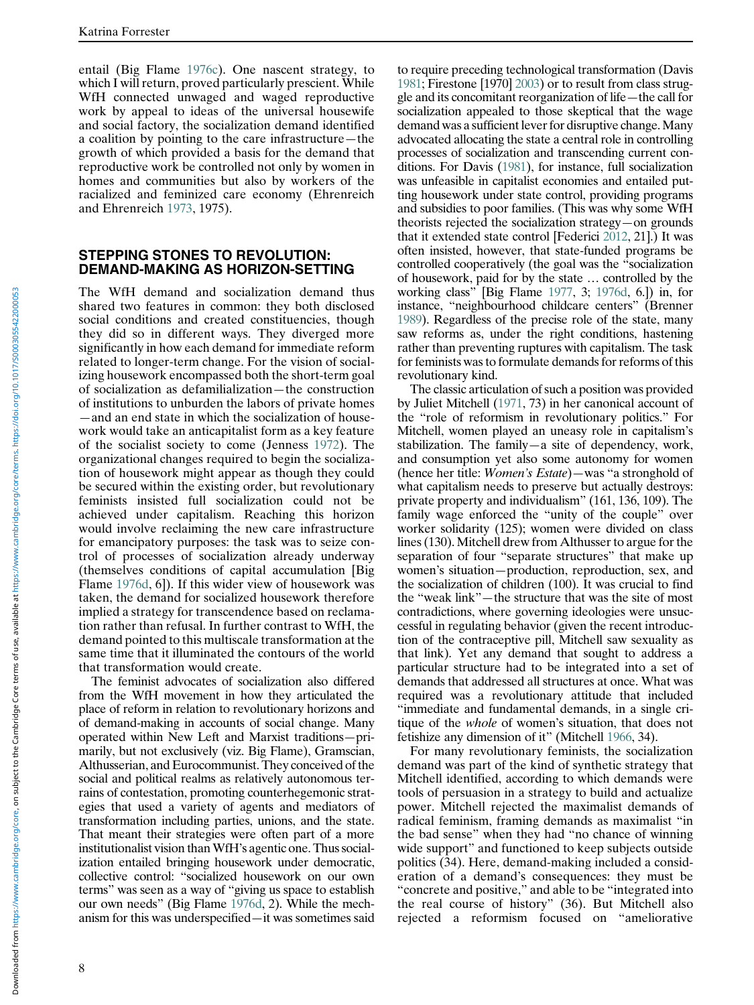entail (Big Flame [1976c\)](#page-12-25). One nascent strategy, to which I will return, proved particularly prescient. While WfH connected unwaged and waged reproductive work by appeal to ideas of the universal housewife and social factory, the socialization demand identified a coalition by pointing to the care infrastructure—the growth of which provided a basis for the demand that reproductive work be controlled not only by women in homes and communities but also by workers of the racialized and feminized care economy (Ehrenreich and Ehrenreich [1973,](#page-12-32) 1975).

### STEPPING STONES TO REVOLUTION: DEMAND-MAKING AS HORIZON-SETTING

The WfH demand and socialization demand thus shared two features in common: they both disclosed social conditions and created constituencies, though they did so in different ways. They diverged more significantly in how each demand for immediate reform related to longer-term change. For the vision of socializing housework encompassed both the short-term goal of socialization as defamilialization—the construction of institutions to unburden the labors of private homes —and an end state in which the socialization of housework would take an anticapitalist form as a key feature of the socialist society to come (Jenness [1972](#page-13-36)). The organizational changes required to begin the socialization of housework might appear as though they could be secured within the existing order, but revolutionary feminists insisted full socialization could not be achieved under capitalism. Reaching this horizon would involve reclaiming the new care infrastructure for emancipatory purposes: the task was to seize control of processes of socialization already underway (themselves conditions of capital accumulation [Big Flame [1976d](#page-12-33), 6]). If this wider view of housework was taken, the demand for socialized housework therefore implied a strategy for transcendence based on reclamation rather than refusal. In further contrast to WfH, the demand pointed to this multiscale transformation at the same time that it illuminated the contours of the world that transformation would create.

The feminist advocates of socialization also differed from the WfH movement in how they articulated the place of reform in relation to revolutionary horizons and of demand-making in accounts of social change. Many operated within New Left and Marxist traditions—primarily, but not exclusively (viz. Big Flame), Gramscian, Althusserian, and Eurocommunist. They conceived of the social and political realms as relatively autonomous terrains of contestation, promoting counterhegemonic strategies that used a variety of agents and mediators of transformation including parties, unions, and the state. That meant their strategies were often part of a more institutionalist vision than WfH's agentic one. Thus socialization entailed bringing housework under democratic, collective control: "socialized housework on our own terms" was seen as a way of "giving us space to establish our own needs" (Big Flame [1976d](#page-12-33), 2). While the mechanism for this was underspecified—it was sometimes said to require preceding technological transformation (Davis [1981](#page-12-24); Firestone [1970] [2003](#page-13-24)) or to result from class struggle and its concomitant reorganization of life—the call for socialization appealed to those skeptical that the wage demand was a sufficient lever for disruptive change. Many advocated allocating the state a central role in controlling processes of socialization and transcending current conditions. For Davis [\(1981\)](#page-12-24), for instance, full socialization was unfeasible in capitalist economies and entailed putting housework under state control, providing programs and subsidies to poor families. (This was why some WfH theorists rejected the socialization strategy—on grounds that it extended state control [Federici [2012](#page-12-19), 21].) It was often insisted, however, that state-funded programs be controlled cooperatively (the goal was the "socialization of housework, paid for by the state … controlled by the working class" [Big Flame [1977](#page-12-34), 3; [1976d](#page-12-33), 6.]) in, for instance, "neighbourhood childcare centers" (Brenner [1989](#page-12-35)). Regardless of the precise role of the state, many saw reforms as, under the right conditions, hastening rather than preventing ruptures with capitalism. The task for feminists was to formulate demands for reforms of this revolutionary kind.

The classic articulation of such a position was provided by Juliet Mitchell [\(1971,](#page-13-32) 73) in her canonical account of the "role of reformism in revolutionary politics." For Mitchell, women played an uneasy role in capitalism's stabilization. The family—a site of dependency, work, and consumption yet also some autonomy for women (hence her title: Women's Estate)—was "a stronghold of what capitalism needs to preserve but actually destroys: private property and individualism" (161, 136, 109). The family wage enforced the "unity of the couple" over worker solidarity (125); women were divided on class lines (130). Mitchell drew from Althusser to argue for the separation of four "separate structures" that make up women's situation—production, reproduction, sex, and the socialization of children (100). It was crucial to find the "weak link"—the structure that was the site of most contradictions, where governing ideologies were unsuccessful in regulating behavior (given the recent introduction of the contraceptive pill, Mitchell saw sexuality as that link). Yet any demand that sought to address a particular structure had to be integrated into a set of demands that addressed all structures at once. What was required was a revolutionary attitude that included "immediate and fundamental demands, in a single critique of the whole of women's situation, that does not fetishize any dimension of it" (Mitchell [1966,](#page-13-37) 34).

For many revolutionary feminists, the socialization demand was part of the kind of synthetic strategy that Mitchell identified, according to which demands were tools of persuasion in a strategy to build and actualize power. Mitchell rejected the maximalist demands of radical feminism, framing demands as maximalist "in the bad sense" when they had "no chance of winning wide support" and functioned to keep subjects outside politics (34). Here, demand-making included a consideration of a demand's consequences: they must be "concrete and positive," and able to be "integrated into the real course of history" (36). But Mitchell also rejected a reformism focused on "ameliorative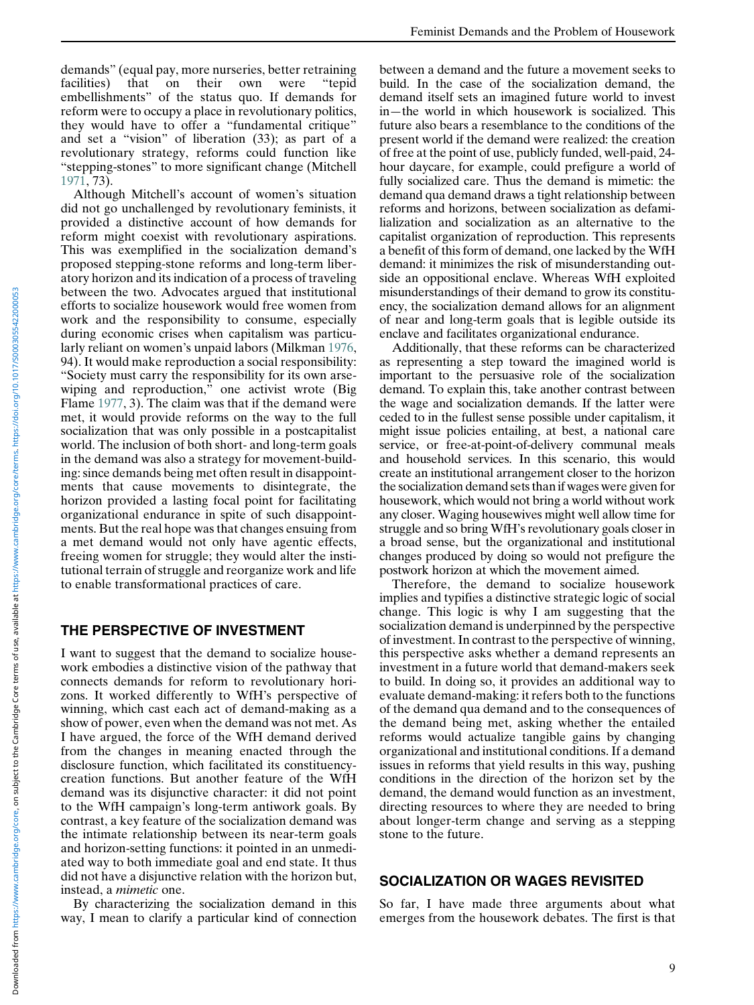demands" (equal pay, more nurseries, better retraining facilities) that on their own were "tepid embellishments" of the status quo. If demands for reform were to occupy a place in revolutionary politics, they would have to offer a "fundamental critique" and set a "vision" of liberation (33); as part of a revolutionary strategy, reforms could function like "stepping-stones" to more significant change (Mitchell [1971,](#page-13-32) 73).

Although Mitchell's account of women's situation did not go unchallenged by revolutionary feminists, it provided a distinctive account of how demands for reform might coexist with revolutionary aspirations. This was exemplified in the socialization demand's proposed stepping-stone reforms and long-term liberatory horizon and its indication of a process of traveling between the two. Advocates argued that institutional efforts to socialize housework would free women from work and the responsibility to consume, especially during economic crises when capitalism was particularly reliant on women's unpaid labors (Milkman [1976](#page-13-34), 94). It would make reproduction a social responsibility: "Society must carry the responsibility for its own arsewiping and reproduction," one activist wrote (Big Flame [1977](#page-12-34), 3). The claim was that if the demand were met, it would provide reforms on the way to the full socialization that was only possible in a postcapitalist world. The inclusion of both short- and long-term goals in the demand was also a strategy for movement-building: since demands being met often result in disappointments that cause movements to disintegrate, the horizon provided a lasting focal point for facilitating organizational endurance in spite of such disappointments. But the real hope was that changes ensuing from a met demand would not only have agentic effects, freeing women for struggle; they would alter the institutional terrain of struggle and reorganize work and life to enable transformational practices of care.

# THE PERSPECTIVE OF INVESTMENT

I want to suggest that the demand to socialize housework embodies a distinctive vision of the pathway that connects demands for reform to revolutionary horizons. It worked differently to WfH's perspective of winning, which cast each act of demand-making as a show of power, even when the demand was not met. As I have argued, the force of the WfH demand derived from the changes in meaning enacted through the disclosure function, which facilitated its constituencycreation functions. But another feature of the WfH demand was its disjunctive character: it did not point to the WfH campaign's long-term antiwork goals. By contrast, a key feature of the socialization demand was the intimate relationship between its near-term goals and horizon-setting functions: it pointed in an unmediated way to both immediate goal and end state. It thus did not have a disjunctive relation with the horizon but, instead, a mimetic one.

By characterizing the socialization demand in this way, I mean to clarify a particular kind of connection between a demand and the future a movement seeks to build. In the case of the socialization demand, the demand itself sets an imagined future world to invest in—the world in which housework is socialized. This future also bears a resemblance to the conditions of the present world if the demand were realized: the creation of free at the point of use, publicly funded, well-paid, 24 hour daycare, for example, could prefigure a world of fully socialized care. Thus the demand is mimetic: the demand qua demand draws a tight relationship between reforms and horizons, between socialization as defamilialization and socialization as an alternative to the capitalist organization of reproduction. This represents a benefit of this form of demand, one lacked by the WfH demand: it minimizes the risk of misunderstanding outside an oppositional enclave. Whereas WfH exploited misunderstandings of their demand to grow its constituency, the socialization demand allows for an alignment of near and long-term goals that is legible outside its enclave and facilitates organizational endurance.

Additionally, that these reforms can be characterized as representing a step toward the imagined world is important to the persuasive role of the socialization demand. To explain this, take another contrast between the wage and socialization demands. If the latter were ceded to in the fullest sense possible under capitalism, it might issue policies entailing, at best, a national care service, or free-at-point-of-delivery communal meals and household services. In this scenario, this would create an institutional arrangement closer to the horizon the socialization demand sets than if wages were given for housework, which would not bring a world without work any closer. Waging housewives might well allow time for struggle and so bring WfH's revolutionary goals closer in a broad sense, but the organizational and institutional changes produced by doing so would not prefigure the postwork horizon at which the movement aimed.

Therefore, the demand to socialize housework implies and typifies a distinctive strategic logic of social change. This logic is why I am suggesting that the socialization demand is underpinned by the perspective of investment. In contrast to the perspective of winning, this perspective asks whether a demand represents an investment in a future world that demand-makers seek to build. In doing so, it provides an additional way to evaluate demand-making: it refers both to the functions of the demand qua demand and to the consequences of the demand being met, asking whether the entailed reforms would actualize tangible gains by changing organizational and institutional conditions. If a demand issues in reforms that yield results in this way, pushing conditions in the direction of the horizon set by the demand, the demand would function as an investment, directing resources to where they are needed to bring about longer-term change and serving as a stepping stone to the future.

# SOCIALIZATION OR WAGES REVISITED

So far, I have made three arguments about what emerges from the housework debates. The first is that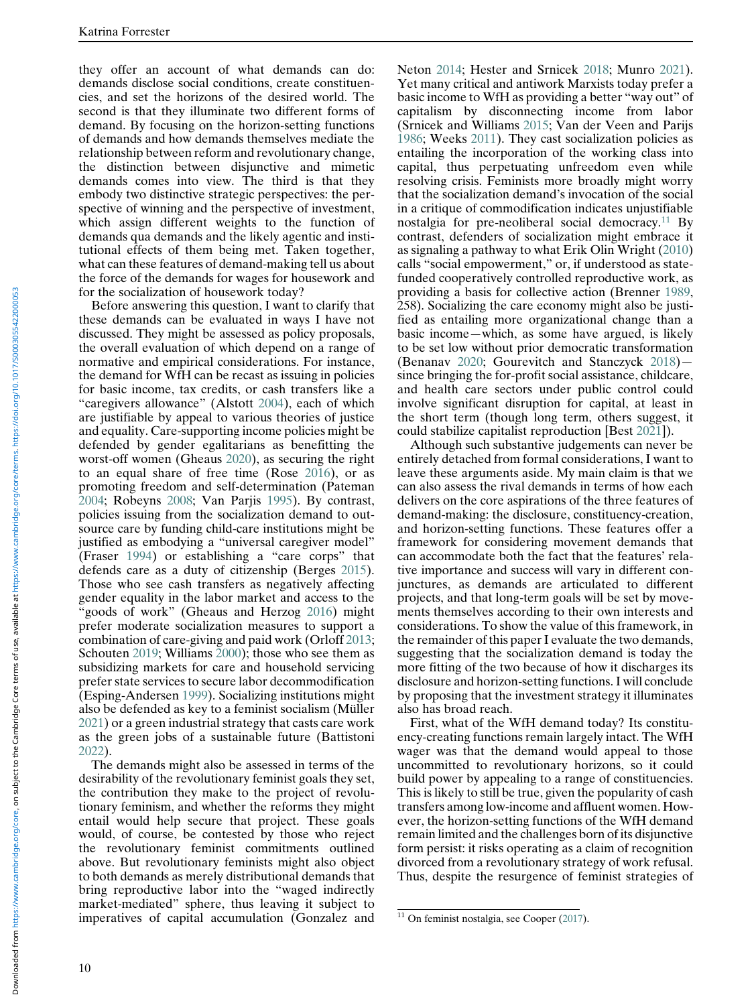they offer an account of what demands can do: demands disclose social conditions, create constituencies, and set the horizons of the desired world. The second is that they illuminate two different forms of demand. By focusing on the horizon-setting functions of demands and how demands themselves mediate the relationship between reform and revolutionary change, the distinction between disjunctive and mimetic demands comes into view. The third is that they embody two distinctive strategic perspectives: the perspective of winning and the perspective of investment, which assign different weights to the function of demands qua demands and the likely agentic and institutional effects of them being met. Taken together, what can these features of demand-making tell us about the force of the demands for wages for housework and for the socialization of housework today?

Before answering this question, I want to clarify that these demands can be evaluated in ways I have not discussed. They might be assessed as policy proposals, the overall evaluation of which depend on a range of normative and empirical considerations. For instance, the demand for WfH can be recast as issuing in policies for basic income, tax credits, or cash transfers like a "caregivers allowance" (Alstott [2004\)](#page-12-36), each of which are justifiable by appeal to various theories of justice and equality. Care-supporting income policies might be defended by gender egalitarians as benefitting the worst-off women (Gheaus [2020](#page-13-38)), as securing the right to an equal share of free time (Rose [2016](#page-14-21)), or as promoting freedom and self-determination (Pateman [2004;](#page-14-26) Robeyns [2008;](#page-14-41) Van Parjis [1995](#page-14-42)). By contrast, policies issuing from the socialization demand to outsource care by funding child-care institutions might be justified as embodying a "universal caregiver model" (Fraser [1994\)](#page-13-26) or establishing a "care corps" that defends care as a duty of citizenship (Berges [2015\)](#page-12-37). Those who see cash transfers as negatively affecting gender equality in the labor market and access to the "goods of work" (Gheaus and Herzog [2016\)](#page-13-39) might prefer moderate socialization measures to support a combination of care-giving and paid work (Orloff [2013;](#page-14-31) Schouten [2019;](#page-14-13) Williams [2000](#page-14-43)); those who see them as subsidizing markets for care and household servicing prefer state services to secure labor decommodification (Esping-Andersen [1999\)](#page-12-2). Socializing institutions might also be defended as key to a feminist socialism (Müller [2021\)](#page-14-44) or a green industrial strategy that casts care work as the green jobs of a sustainable future (Battistoni [2022\)](#page-12-38).

<span id="page-9-0"></span>The demands might also be assessed in terms of the desirability of the revolutionary feminist goals they set, the contribution they make to the project of revolutionary feminism, and whether the reforms they might entail would help secure that project. These goals would, of course, be contested by those who reject the revolutionary feminist commitments outlined above. But revolutionary feminists might also object to both demands as merely distributional demands that bring reproductive labor into the "waged indirectly market-mediated" sphere, thus leaving it subject to imperatives of capital accumulation (Gonzalez and

Neton [2014;](#page-13-29) Hester and Srnicek [2018;](#page-13-12) Munro [2021\)](#page-14-45). Yet many critical and antiwork Marxists today prefer a basic income to WfH as providing a better "way out" of capitalism by disconnecting income from labor (Srnicek and Williams [2015](#page-14-46); Van der Veen and Parijs [1986;](#page-14-47) Weeks [2011](#page-14-8)). They cast socialization policies as entailing the incorporation of the working class into capital, thus perpetuating unfreedom even while resolving crisis. Feminists more broadly might worry that the socialization demand's invocation of the social in a critique of commodification indicates unjustifiable nostalgia for pre-neoliberal social democracy.<sup>[11](#page-9-0)</sup> By contrast, defenders of socialization might embrace it as signaling a pathway to what Erik Olin Wright [\(2010](#page-14-48)) calls "social empowerment," or, if understood as statefunded cooperatively controlled reproductive work, as providing a basis for collective action (Brenner [1989,](#page-12-35) 258). Socializing the care economy might also be justified as entailing more organizational change than a basic income—which, as some have argued, is likely to be set low without prior democratic transformation (Benanav [2020](#page-12-39); Gourevitch and Stanczyck [2018](#page-13-40)) since bringing the for-profit social assistance, childcare, and health care sectors under public control could involve significant disruption for capital, at least in the short term (though long term, others suggest, it could stabilize capitalist reproduction [Best [2021\]](#page-12-23)).

Although such substantive judgements can never be entirely detached from formal considerations, I want to leave these arguments aside. My main claim is that we can also assess the rival demands in terms of how each delivers on the core aspirations of the three features of demand-making: the disclosure, constituency-creation, and horizon-setting functions. These features offer a framework for considering movement demands that can accommodate both the fact that the features' relative importance and success will vary in different conjunctures, as demands are articulated to different projects, and that long-term goals will be set by movements themselves according to their own interests and considerations. To show the value of this framework, in the remainder of this paper I evaluate the two demands, suggesting that the socialization demand is today the more fitting of the two because of how it discharges its disclosure and horizon-setting functions. I will conclude by proposing that the investment strategy it illuminates also has broad reach.

First, what of the WfH demand today? Its constituency-creating functions remain largely intact. The WfH wager was that the demand would appeal to those uncommitted to revolutionary horizons, so it could build power by appealing to a range of constituencies. This is likely to still be true, given the popularity of cash transfers among low-income and affluent women. However, the horizon-setting functions of the WfH demand remain limited and the challenges born of its disjunctive form persist: it risks operating as a claim of recognition divorced from a revolutionary strategy of work refusal. Thus, despite the resurgence of feminist strategies of

 $11$  On feminist nostalgia, see Cooper [\(2017](#page-12-40)).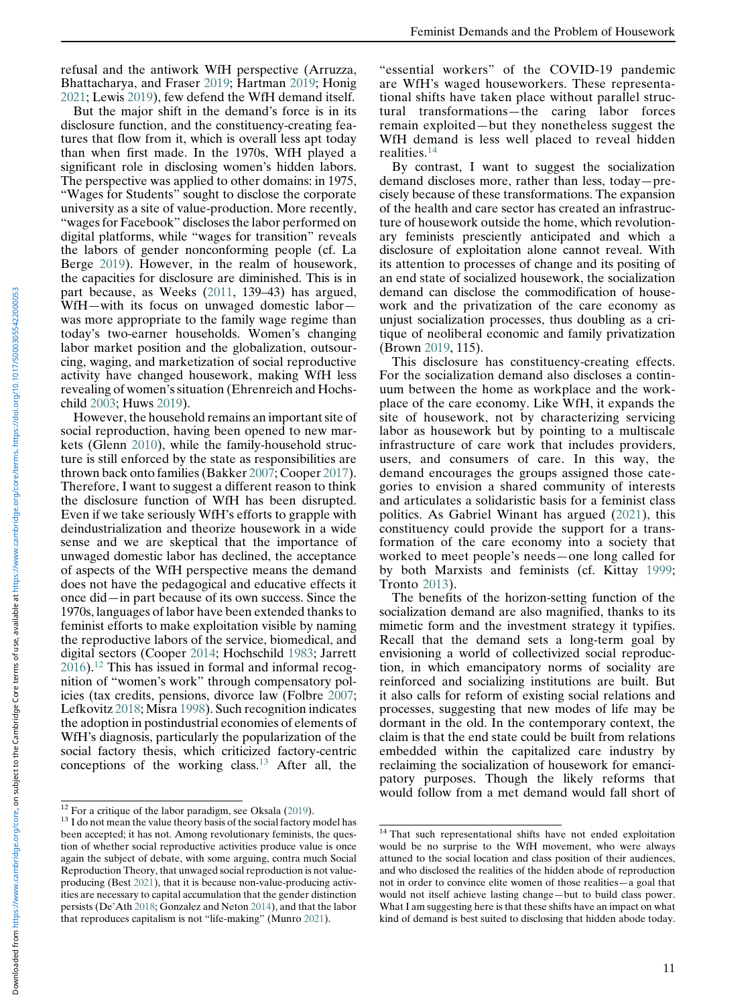[2021;](#page-13-8) Lewis [2019](#page-13-42)), few defend the WfH demand itself. But the major shift in the demand's force is in its disclosure function, and the constituency-creating features that flow from it, which is overall less apt today than when first made. In the 1970s, WfH played a significant role in disclosing women's hidden labors. The perspective was applied to other domains: in 1975, "Wages for Students" sought to disclose the corporate university as a site of value-production. More recently, "wages for Facebook" discloses the labor performed on digital platforms, while "wages for transition" reveals the labors of gender nonconforming people (cf. La Berge [2019](#page-13-43)). However, in the realm of housework, the capacities for disclosure are diminished. This is in part because, as Weeks ([2011](#page-14-8), 139–43) has argued, WfH—with its focus on unwaged domestic labor was more appropriate to the family wage regime than today's two-earner households. Women's changing labor market position and the globalization, outsourcing, waging, and marketization of social reproductive activity have changed housework, making WfH less revealing of women's situation (Ehrenreich and Hochschild [2003](#page-12-42); Huws [2019\)](#page-13-44).

Bhattacharya, and Fraser [2019;](#page-12-41) Hartman [2019](#page-13-41); Honig

However, the household remains an important site of social reproduction, having been opened to new markets (Glenn [2010\)](#page-13-4), while the family-household structure is still enforced by the state as responsibilities are thrown back onto families (Bakker [2007](#page-12-43); Cooper [2017\)](#page-12-40). Therefore, I want to suggest a different reason to think the disclosure function of WfH has been disrupted. Even if we take seriously WfH's efforts to grapple with deindustrialization and theorize housework in a wide sense and we are skeptical that the importance of unwaged domestic labor has declined, the acceptance of aspects of the WfH perspective means the demand does not have the pedagogical and educative effects it once did—in part because of its own success. Since the 1970s, languages of labor have been extended thanks to feminist efforts to make exploitation visible by naming the reproductive labors of the service, biomedical, and digital sectors (Cooper [2014;](#page-12-44) Hochschild [1983;](#page-13-45) Jarrett  $2016$ ).<sup>[12](#page-10-0)</sup> This has issued in formal and informal recognition of "women's work" through compensatory policies (tax credits, pensions, divorce law (Folbre [2007](#page-13-47); Lefkovitz [2018;](#page-13-39) Misra [1998\)](#page-13-48). Such recognition indicates the adoption in postindustrial economies of elements of WfH's diagnosis, particularly the popularization of the social factory thesis, which criticized factory-centric conceptions of the working class.<sup>[13](#page-10-1)</sup> After all, the

"essential workers" of the COVID-19 pandemic are WfH's waged houseworkers. These representational shifts have taken place without parallel structural transformations—the caring labor forces remain exploited—but they nonetheless suggest the WfH demand is less well placed to reveal hidden realities.[14](#page-10-2)

By contrast, I want to suggest the socialization demand discloses more, rather than less, today—precisely because of these transformations. The expansion of the health and care sector has created an infrastructure of housework outside the home, which revolutionary feminists presciently anticipated and which a disclosure of exploitation alone cannot reveal. With its attention to processes of change and its positing of an end state of socialized housework, the socialization demand can disclose the commodification of housework and the privatization of the care economy as unjust socialization processes, thus doubling as a critique of neoliberal economic and family privatization (Brown [2019,](#page-12-45) 115).

This disclosure has constituency-creating effects. For the socialization demand also discloses a continuum between the home as workplace and the workplace of the care economy. Like WfH, it expands the site of housework, not by characterizing servicing labor as housework but by pointing to a multiscale infrastructure of care work that includes providers, users, and consumers of care. In this way, the demand encourages the groups assigned those categories to envision a shared community of interests and articulates a solidaristic basis for a feminist class politics. As Gabriel Winant has argued [\(2021\)](#page-14-13), this constituency could provide the support for a transformation of the care economy into a society that worked to meet people's needs—one long called for by both Marxists and feminists (cf. Kittay [1999;](#page-13-35) Tronto [2013](#page-14-1)).

The benefits of the horizon-setting function of the socialization demand are also magnified, thanks to its mimetic form and the investment strategy it typifies. Recall that the demand sets a long-term goal by envisioning a world of collectivized social reproduction, in which emancipatory norms of sociality are reinforced and socializing institutions are built. But it also calls for reform of existing social relations and processes, suggesting that new modes of life may be dormant in the old. In the contemporary context, the claim is that the end state could be built from relations embedded within the capitalized care industry by reclaiming the socialization of housework for emancipatory purposes. Though the likely reforms that would follow from a met demand would fall short of

<span id="page-10-0"></span><sup>&</sup>lt;sup>12</sup> For a critique of the labor paradigm, see Oksala ([2019\)](#page-14-49).<br><sup>13</sup> I do not mean the value theory basis of the social factory model has

<span id="page-10-2"></span><span id="page-10-1"></span>been accepted; it has not. Among revolutionary feminists, the question of whether social reproductive activities produce value is once again the subject of debate, with some arguing, contra much Social Reproduction Theory, that unwaged social reproduction is not valueproducing (Best [2021](#page-12-23)), that it is because non-value-producing activities are necessary to capital accumulation that the gender distinction persists (De'Ath [2018](#page-12-46); Gonzalez and Neton [2014\)](#page-13-29), and that the labor that reproduces capitalism is not "life-making" (Munro [2021\)](#page-14-45).

<sup>&</sup>lt;sup>14</sup> That such representational shifts have not ended exploitation would be no surprise to the WfH movement, who were always attuned to the social location and class position of their audiences, and who disclosed the realities of the hidden abode of reproduction not in order to convince elite women of those realities—a goal that would not itself achieve lasting change—but to build class power. What I am suggesting here is that these shifts have an impact on what kind of demand is best suited to disclosing that hidden abode today.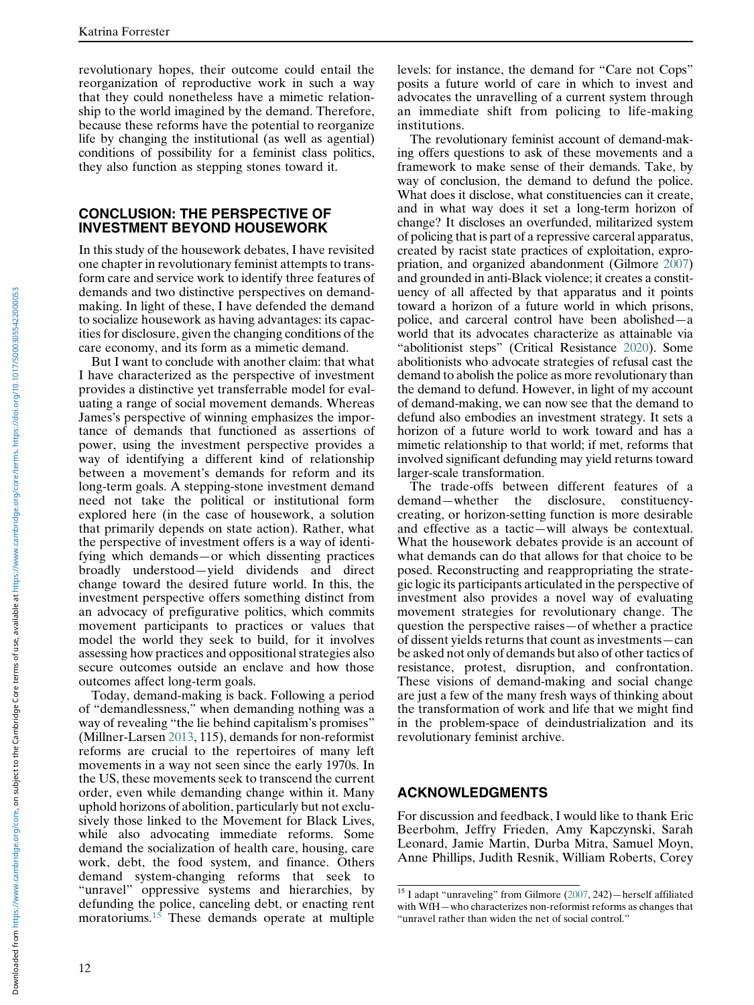revolutionary hopes, their outcome could entail the reorganization of reproductive work in such a way that they could nonetheless have a mimetic relationship to the world imagined by the demand. Therefore, because these reforms have the potential to reorganize life by changing the institutional (as well as agential) conditions of possibility for a feminist class politics, they also function as stepping stones toward it.

### CONCLUSION: THE PERSPECTIVE OF INVESTMENT BEYOND HOUSEWORK

In this study of the housework debates, I have revisited one chapter in revolutionary feminist attempts to transform care and service work to identify three features of demands and two distinctive perspectives on demandmaking. In light of these, I have defended the demand to socialize housework as having advantages: its capacities for disclosure, given the changing conditions of the care economy, and its form as a mimetic demand.

But I want to conclude with another claim: that what I have characterized as the perspective of investment provides a distinctive yet transferrable model for evaluating a range of social movement demands. Whereas James's perspective of winning emphasizes the importance of demands that functioned as assertions of power, using the investment perspective provides a way of identifying a different kind of relationship between a movement's demands for reform and its long-term goals. A stepping-stone investment demand need not take the political or institutional form explored here (in the case of housework, a solution that primarily depends on state action). Rather, what the perspective of investment offers is a way of identifying which demands—or which dissenting practices broadly understood—yield dividends and direct change toward the desired future world. In this, the investment perspective offers something distinct from an advocacy of prefigurative politics, which commits movement participants to practices or values that model the world they seek to build, for it involves assessing how practices and oppositional strategies also secure outcomes outside an enclave and how those outcomes affect long-term goals.

<span id="page-11-0"></span>Today, demand-making is back. Following a period of "demandlessness," when demanding nothing was a way of revealing "the lie behind capitalism's promises" (Millner-Larsen [2013,](#page-13-49) 115), demands for non-reformist reforms are crucial to the repertoires of many left movements in a way not seen since the early 1970s. In the US, these movements seek to transcend the current order, even while demanding change within it. Many uphold horizons of abolition, particularly but not exclusively those linked to the Movement for Black Lives, while also advocating immediate reforms. Some demand the socialization of health care, housing, care work, debt, the food system, and finance. Others demand system-changing reforms that seek to "unravel" oppressive systems and hierarchies, by defunding the police, canceling debt, or enacting rent moratoriums.[15](#page-11-0) These demands operate at multiple

levels: for instance, the demand for "Care not Cops" posits a future world of care in which to invest and advocates the unravelling of a current system through an immediate shift from policing to life-making institutions.

The revolutionary feminist account of demand-making offers questions to ask of these movements and a framework to make sense of their demands. Take, by way of conclusion, the demand to defund the police. What does it disclose, what constituencies can it create, and in what way does it set a long-term horizon of change? It discloses an overfunded, militarized system of policing that is part of a repressive carceral apparatus, created by racist state practices of exploitation, expropriation, and organized abandonment (Gilmore [2007](#page-13-50)) and grounded in anti-Black violence; it creates a constituency of all affected by that apparatus and it points toward a horizon of a future world in which prisons, police, and carceral control have been abolished—a world that its advocates characterize as attainable via "abolitionist steps" (Critical Resistance [2020\)](#page-12-47). Some abolitionists who advocate strategies of refusal cast the demand to abolish the police as more revolutionary than the demand to defund. However, in light of my account of demand-making, we can now see that the demand to defund also embodies an investment strategy. It sets a horizon of a future world to work toward and has a mimetic relationship to that world; if met, reforms that involved significant defunding may yield returns toward larger-scale transformation.

The trade-offs between different features of a demand—whether the disclosure, constituencycreating, or horizon-setting function is more desirable and effective as a tactic—will always be contextual. What the housework debates provide is an account of what demands can do that allows for that choice to be posed. Reconstructing and reappropriating the strategic logic its participants articulated in the perspective of investment also provides a novel way of evaluating movement strategies for revolutionary change. The question the perspective raises—of whether a practice of dissent yields returns that count as investments—can be asked not only of demands but also of other tactics of resistance, protest, disruption, and confrontation. These visions of demand-making and social change are just a few of the many fresh ways of thinking about the transformation of work and life that we might find in the problem-space of deindustrialization and its revolutionary feminist archive.

# ACKNOWLEDGMENTS

For discussion and feedback, I would like to thank Eric Beerbohm, Jeffry Frieden, Amy Kapczynski, Sarah Leonard, Jamie Martin, Durba Mitra, Samuel Moyn, Anne Phillips, Judith Resnik, William Roberts, Corey

<sup>&</sup>lt;sup>15</sup> I adapt "unraveling" from Gilmore [\(2007](#page-13-50), 242) – herself affiliated with WfH—who characterizes non-reformist reforms as changes that "unravel rather than widen the net of social control."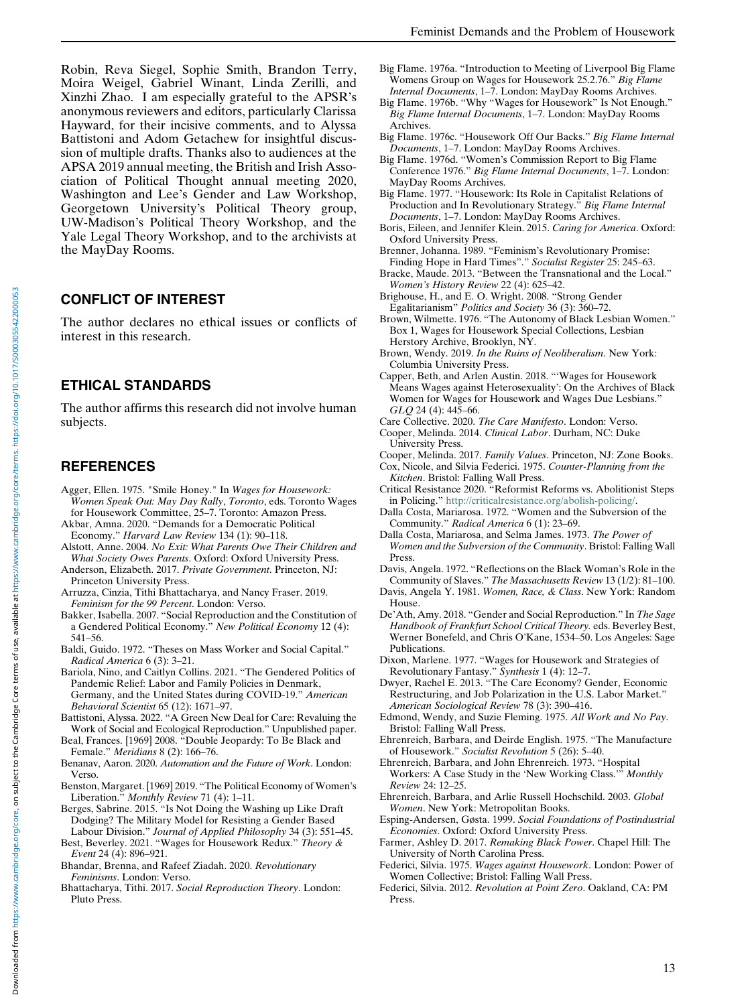<span id="page-12-45"></span><span id="page-12-35"></span><span id="page-12-34"></span><span id="page-12-31"></span><span id="page-12-20"></span><span id="page-12-7"></span><span id="page-12-4"></span>Downloaded from https://www.cambridge.org/core, on subject to the Cambridge Core terms of use, available at https://www.cambridge.org/core/terms. https://doi.org/10.10117/S000363422000053 Downloaded from https://www.cambridge.org/core, on subject to the Cambridge Core terms of use, available at https://www.cambridge.org/core/terms. https://doi.org/10.1017/S0003055422000053

<span id="page-12-33"></span><span id="page-12-28"></span><span id="page-12-27"></span><span id="page-12-25"></span>Robin, Reva Siegel, Sophie Smith, Brandon Terry, Moira Weigel, Gabriel Winant, Linda Zerilli, and Xinzhi Zhao. I am especially grateful to the APSR's anonymous reviewers and editors, particularly Clarissa Hayward, for their incisive comments, and to Alyssa Battistoni and Adom Getachew for insightful discussion of multiple drafts. Thanks also to audiences at the APSA 2019 annual meeting, the British and Irish Association of Political Thought annual meeting 2020, Washington and Lee's Gender and Law Workshop, Georgetown University's Political Theory group, UW-Madison's Political Theory Workshop, and the Yale Legal Theory Workshop, and to the archivists at the MayDay Rooms.

# CONFLICT OF INTEREST

The author declares no ethical issues or conflicts of interest in this research.

# <span id="page-12-21"></span>ETHICAL STANDARDS

<span id="page-12-44"></span><span id="page-12-3"></span>The author affirms this research did not involve human subjects.

### <span id="page-12-40"></span><span id="page-12-17"></span><span id="page-12-15"></span>**REFERENCES**

- <span id="page-12-47"></span><span id="page-12-11"></span><span id="page-12-9"></span>Agger, Ellen. 1975. "Smile Honey." In Wages for Housework: Women Speak Out: May Day Rally, Toronto, eds. Toronto Wages for Housework Committee, 25–7. Toronto: Amazon Press. Akbar, Amna. 2020. "Demands for a Democratic Political
- <span id="page-12-36"></span>Economy." Harvard Law Review 134 (1): 90–118.
- <span id="page-12-12"></span><span id="page-12-6"></span>Alstott, Anne. 2004. No Exit: What Parents Owe Their Children and What Society Owes Parents. Oxford: Oxford University Press.
- <span id="page-12-41"></span><span id="page-12-29"></span>Anderson, Elizabeth. 2017. Private Government. Princeton, NJ: Princeton University Press.
- <span id="page-12-43"></span><span id="page-12-24"></span>Arruzza, Cinzia, Tithi Bhattacharya, and Nancy Fraser. 2019. Feminism for the 99 Percent. London: Verso.
- <span id="page-12-46"></span><span id="page-12-18"></span>Bakker, Isabella. 2007. "Social Reproduction and the Constitution of a Gendered Political Economy." New Political Economy 12 (4): 541–56.
- <span id="page-12-26"></span><span id="page-12-0"></span>Baldi, Guido. 1972. "Theses on Mass Worker and Social Capital." Radical America 6 (3): 3–21.
- <span id="page-12-38"></span><span id="page-12-1"></span>Bariola, Nino, and Caitlyn Collins. 2021. "The Gendered Politics of Pandemic Relief: Labor and Family Policies in Denmark, Germany, and the United States during COVID-19." American Behavioral Scientist 65 (12): 1671–97.
- <span id="page-12-16"></span><span id="page-12-14"></span>Battistoni, Alyssa. 2022. "A Green New Deal for Care: Revaluing the Work of Social and Ecological Reproduction." Unpublished paper.
- <span id="page-12-39"></span><span id="page-12-30"></span>Beal, Frances. [1969] 2008. "Double Jeopardy: To Be Black and Female." Meridians 8 (2): 166–76.
- <span id="page-12-32"></span><span id="page-12-10"></span>Benanav, Aaron. 2020. Automation and the Future of Work. London: Verso.
- <span id="page-12-42"></span><span id="page-12-37"></span>Benston, Margaret. [1969] 2019. "The Political Economy of Women's Liberation." Monthly Review 71 (4): 1-11.
- <span id="page-12-23"></span><span id="page-12-2"></span>Berges, Sabrine. 2015. "Is Not Doing the Washing up Like Draft Dodging? The Military Model for Resisting a Gender Based Labour Division." Journal of Applied Philosophy 34 (3): 551–45. Best, Beverley. 2021. "Wages for Housework Redux." Theory &
- <span id="page-12-22"></span><span id="page-12-13"></span><span id="page-12-8"></span><span id="page-12-5"></span>Event 24 (4): 896–921. Bhandar, Brenna, and Rafeef Ziadah. 2020. Revolutionary Feminisms. London: Verso.
- <span id="page-12-19"></span>Bhattacharya, Tithi. 2017. Social Reproduction Theory. London: Pluto Press.
- Big Flame. 1976a. "Introduction to Meeting of Liverpool Big Flame Womens Group on Wages for Housework 25.2.76." Big Flame Internal Documents, 1–7. London: MayDay Rooms Archives.
- Big Flame. 1976b. "Why "Wages for Housework" Is Not Enough." Big Flame Internal Documents, 1–7. London: MayDay Rooms Archives.
- Big Flame. 1976c. "Housework Off Our Backs." Big Flame Internal Documents, 1–7. London: MayDay Rooms Archives.
- Big Flame. 1976d. "Women's Commission Report to Big Flame Conference 1976." Big Flame Internal Documents, 1–7. London: MayDay Rooms Archives.
- Big Flame. 1977. "Housework: Its Role in Capitalist Relations of Production and In Revolutionary Strategy." Big Flame Internal Documents, 1–7. London: MayDay Rooms Archives.
- Boris, Eileen, and Jennifer Klein. 2015. Caring for America. Oxford: Oxford University Press.
- Brenner, Johanna. 1989. "Feminism's Revolutionary Promise: Finding Hope in Hard Times"." Socialist Register 25: 245–63.
- Bracke, Maude. 2013. "Between the Transnational and the Local." Women's History Review 22 (4): 625–42.
- Brighouse, H., and E. O. Wright. 2008. "Strong Gender Egalitarianism" Politics and Society 36 (3): 360–72.
- Brown, Wilmette. 1976. "The Autonomy of Black Lesbian Women." Box 1, Wages for Housework Special Collections, Lesbian Herstory Archive, Brooklyn, NY.
- Brown, Wendy. 2019. In the Ruins of Neoliberalism. New York: Columbia University Press.
- Capper, Beth, and Arlen Austin. 2018. "'Wages for Housework Means Wages against Heterosexuality': On the Archives of Black Women for Wages for Housework and Wages Due Lesbians."  $GLO$  24 (4):  $445-66$ .
- Care Collective. 2020. The Care Manifesto. London: Verso.
- Cooper, Melinda. 2014. Clinical Labor. Durham, NC: Duke University Press.
- Cooper, Melinda. 2017. Family Values. Princeton, NJ: Zone Books. Cox, Nicole, and Silvia Federici. 1975. Counter-Planning from the
- Kitchen. Bristol: Falling Wall Press. Critical Resistance 2020. "Reformist Reforms vs. Abolitionist Steps in Policing." <http://criticalresistance.org/abolish-policing/>.
- Dalla Costa, Mariarosa. 1972. "Women and the Subversion of the Community." Radical America 6 (1): 23–69.
- Dalla Costa, Mariarosa, and Selma James. 1973. The Power of Women and the Subversion of the Community. Bristol: Falling Wall Press.
- Davis, Angela. 1972. "Reflections on the Black Woman's Role in the Community of Slaves." The Massachusetts Review 13 (1/2): 81–100.
- Davis, Angela Y. 1981. Women, Race, & Class. New York: Random House.
- De'Ath, Amy. 2018. "Gender and Social Reproduction." In The Sage Handbook of Frankfurt School Critical Theory. eds. Beverley Best, Werner Bonefeld, and Chris O'Kane, 1534–50. Los Angeles: Sage Publications.
- Dixon, Marlene. 1977. "Wages for Housework and Strategies of Revolutionary Fantasy." Synthesis 1 (4): 12–7.
- Dwyer, Rachel E. 2013. "The Care Economy? Gender, Economic Restructuring, and Job Polarization in the U.S. Labor Market." American Sociological Review 78 (3): 390–416.
- Edmond, Wendy, and Suzie Fleming. 1975. All Work and No Pay. Bristol: Falling Wall Press.
- Ehrenreich, Barbara, and Deirde English. 1975. "The Manufacture of Housework." Socialist Revolution 5 (26): 5–40.
- Ehrenreich, Barbara, and John Ehrenreich. 1973. "Hospital Workers: A Case Study in the 'New Working Class.'" Monthly Review 24: 12–25.
- Ehrenreich, Barbara, and Arlie Russell Hochschild. 2003. Global Women. New York: Metropolitan Books.
- Esping-Andersen, Gøsta. 1999. Social Foundations of Postindustrial Economies. Oxford: Oxford University Press.
- Farmer, Ashley D. 2017. Remaking Black Power. Chapel Hill: The University of North Carolina Press.
- Federici, Silvia. 1975. Wages against Housework. London: Power of Women Collective; Bristol: Falling Wall Press.
- Federici, Silvia. 2012. Revolution at Point Zero. Oakland, CA: PM Press.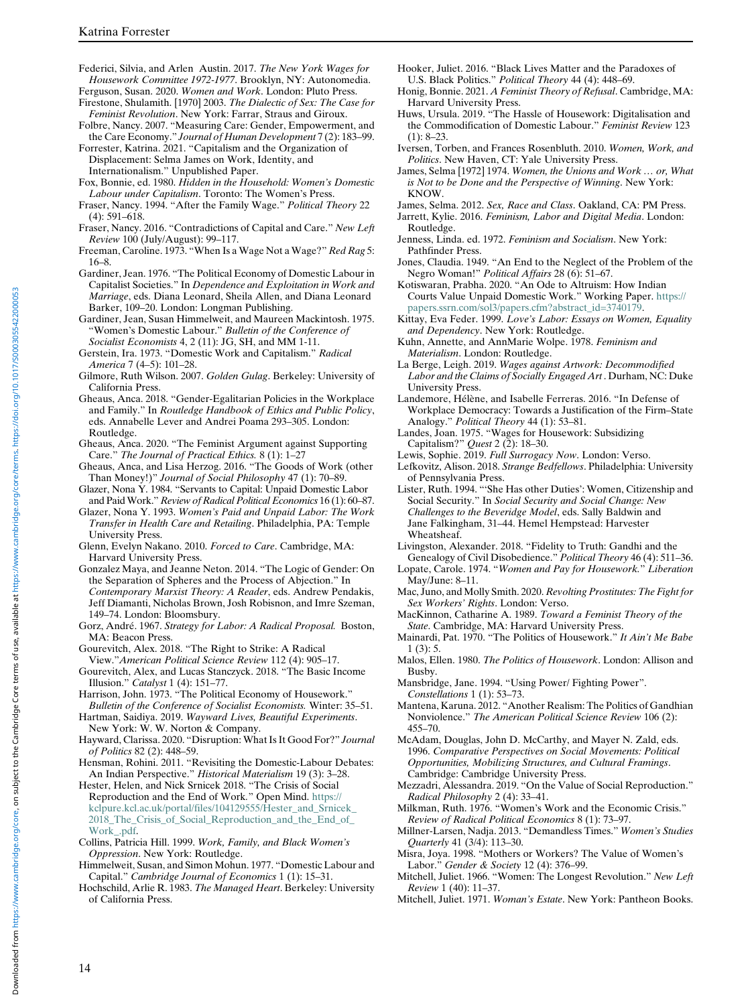<span id="page-13-3"></span>Federici, Silvia, and Arlen Austin. 2017. The New York Wages for Housework Committee 1972-1977. Brooklyn, NY: Autonomedia.

<span id="page-13-24"></span><span id="page-13-8"></span>Ferguson, Susan. 2020. Women and Work. London: Pluto Press. Firestone, Shulamith. [1970] 2003. The Dialectic of Sex: The Case for

- <span id="page-13-47"></span><span id="page-13-44"></span>Feminist Revolution. New York: Farrar, Straus and Giroux. Folbre, Nancy. 2007. "Measuring Care: Gender, Empowerment, and
- <span id="page-13-1"></span>the Care Economy." Journal of Human Development 7 (2): 183-99. Forrester, Katrina. 2021. "Capitalism and the Organization of

<span id="page-13-9"></span>Displacement: Selma James on Work, Identity, and Internationalism." Unpublished Paper.

- <span id="page-13-19"></span>Fox, Bonnie, ed. 1980. Hidden in the Household: Women's Domestic Labour under Capitalism. Toronto: The Women's Press.
- <span id="page-13-46"></span><span id="page-13-26"></span>Fraser, Nancy. 1994. "After the Family Wage." Political Theory 22 (4): 591–618.
- <span id="page-13-36"></span><span id="page-13-0"></span>Fraser, Nancy. 2016. "Contradictions of Capital and Care." New Left Review 100 (July/August): 99–117.
- <span id="page-13-30"></span><span id="page-13-22"></span>Freeman, Caroline. 1973. "When Is a Wage Not a Wage?" Red Rag 5: 16–8.
- <span id="page-13-17"></span><span id="page-13-13"></span>Gardiner, Jean. 1976. "The Political Economy of Domestic Labour in Capitalist Societies." In Dependence and Exploitation in Work and Marriage, eds. Diana Leonard, Sheila Allen, and Diana Leonard Barker, 109–20. London: Longman Publishing.
- <span id="page-13-35"></span>Gardiner, Jean, Susan Himmelweit, and Maureen Mackintosh. 1975. "Women's Domestic Labour." Bulletin of the Conference of Socialist Economists 4, 2 (11): JG, SH, and MM 1-11.
- <span id="page-13-43"></span><span id="page-13-18"></span><span id="page-13-16"></span>Gerstein, Ira. 1973. "Domestic Work and Capitalism." Radical America 7 (4–5): 101–28.
- <span id="page-13-50"></span>Gilmore, Ruth Wilson. 2007. Golden Gulag. Berkeley: University of California Press.
- <span id="page-13-7"></span>Gheaus, Anca. 2018. "Gender-Egalitarian Policies in the Workplace and Family." In Routledge Handbook of Ethics and Public Policy, eds. Annabelle Lever and Andrei Poama 293–305. London: Routledge.
- <span id="page-13-42"></span><span id="page-13-38"></span><span id="page-13-31"></span>Gheaus, Anca. 2020. "The Feminist Argument against Supporting Care." The Journal of Practical Ethics. 8 (1): 1–27
- <span id="page-13-39"></span>Gheaus, Anca, and Lisa Herzog. 2016. "The Goods of Work (other Than Money!)" Journal of Social Philosophy 47 (1): 70-89.
- <span id="page-13-33"></span>Glazer, Nona Y. 1984. "Servants to Capital: Unpaid Domestic Labor and Paid Work." Review of Radical Political Economics 16 (1): 60-87.
- <span id="page-13-23"></span>Glazer, Nona Y. 1993. Women's Paid and Unpaid Labor: The Work Transfer in Health Care and Retailing. Philadelphia, PA: Temple University Press.
- <span id="page-13-4"></span>Glenn, Evelyn Nakano. 2010. Forced to Care. Cambridge, MA: Harvard University Press.
- <span id="page-13-29"></span>Gonzalez Maya, and Jeanne Neton. 2014. "The Logic of Gender: On the Separation of Spheres and the Process of Abjection." In Contemporary Marxist Theory: A Reader, eds. Andrew Pendakis, Jeff Diamanti, Nicholas Brown, Josh Robisnon, and Imre Szeman, 149–74. London: Bloomsbury.
- <span id="page-13-25"></span><span id="page-13-14"></span><span id="page-13-10"></span>Gorz, André. 1967. Strategy for Labor: A Radical Proposal. Boston, MA: Beacon Press.
- <span id="page-13-21"></span><span id="page-13-6"></span>Gourevitch, Alex. 2018. "The Right to Strike: A Radical View."American Political Science Review 112 (4): 905–17.
- <span id="page-13-40"></span><span id="page-13-27"></span>Gourevitch, Alex, and Lucas Stanczyck. 2018. "The Basic Income Illusion." Catalyst 1 (4): 151–77.
- <span id="page-13-15"></span><span id="page-13-5"></span>Harrison, John. 1973. "The Political Economy of Housework." Bulletin of the Conference of Socialist Economists. Winter: 35–51.
- <span id="page-13-41"></span>Hartman, Saidiya. 2019. Wayward Lives, Beautiful Experiments. New York: W. W. Norton & Company.
- <span id="page-13-2"></span>Hayward, Clarissa. 2020. "Disruption: What Is It Good For?" Journal of Politics 82 (2): 448–59.
- <span id="page-13-11"></span>Hensman, Rohini. 2011. "Revisiting the Domestic-Labour Debates: An Indian Perspective." Historical Materialism 19 (3): 3–28.
- <span id="page-13-34"></span><span id="page-13-12"></span>Hester, Helen, and Nick Srnicek 2018. "The Crisis of Social Reproduction and the End of Work." Open Mind. [https://](http://criticalresistance.org/abolish-policing/) [kclpure.kcl.ac.uk/portal/files/104129555/Hester\\_and\\_Srnicek\\_](http://criticalresistance.org/abolish-policing/) [2018\\_The\\_Crisis\\_of\\_Social\\_Reproduction\\_and\\_the\\_End\\_of\\_](http://criticalresistance.org/abolish-policing/) [Work\\_.pdf](http://criticalresistance.org/abolish-policing/).
- <span id="page-13-49"></span><span id="page-13-48"></span><span id="page-13-28"></span>Collins, Patricia Hill. 1999. Work, Family, and Black Women's Oppression. New York: Routledge.
- <span id="page-13-37"></span><span id="page-13-20"></span>Himmelweit, Susan, and Simon Mohun. 1977. "Domestic Labour and Capital." Cambridge Journal of Economics 1 (1): 15–31.
- <span id="page-13-45"></span><span id="page-13-32"></span>Hochschild, Arlie R. 1983. The Managed Heart. Berkeley: University of California Press.
- Hooker, Juliet. 2016. "Black Lives Matter and the Paradoxes of U.S. Black Politics." Political Theory 44 (4): 448–69.
- Honig, Bonnie. 2021. A Feminist Theory of Refusal. Cambridge, MA: Harvard University Press.
- Huws, Ursula. 2019. "The Hassle of Housework: Digitalisation and the Commodification of Domestic Labour." Feminist Review 123  $(1): 8-23.$
- Iversen, Torben, and Frances Rosenbluth. 2010. Women, Work, and Politics. New Haven, CT: Yale University Press.
- James, Selma [1972] 1974. Women, the Unions and Work … or, What is Not to be Done and the Perspective of Winning. New York: KNOW.
- James, Selma. 2012. Sex, Race and Class. Oakland, CA: PM Press.
- Jarrett, Kylie. 2016. Feminism, Labor and Digital Media. London: Routledge.
- Jenness, Linda. ed. 1972. Feminism and Socialism. New York: Pathfinder Press.
- Jones, Claudia. 1949. "An End to the Neglect of the Problem of the Negro Woman!" Political Affairs 28 (6): 51–67.
- Kotiswaran, Prabha. 2020. "An Ode to Altruism: How Indian Courts Value Unpaid Domestic Work." Working Paper. [https://](https://papers.ssrn.com/sol3/papers.cfm?abstract_id=3740179) [papers.ssrn.com/sol3/papers.cfm?abstract\\_id=3740179.](https://papers.ssrn.com/sol3/papers.cfm?abstract_id=3740179)
- Kittay, Eva Feder. 1999. Love's Labor: Essays on Women, Equality and Dependency. New York: Routledge.
- Kuhn, Annette, and AnnMarie Wolpe. 1978. Feminism and Materialism. London: Routledge.
- La Berge, Leigh. 2019. Wages against Artwork: Decommodified Labor and the Claims of Socially Engaged Art . Durham, NC: Duke University Press.
- Landemore, Hélène, and Isabelle Ferreras. 2016. "In Defense of Workplace Democracy: Towards a Justification of the Firm–State Analogy." Political Theory 44 (1): 53–81.
- Landes, Joan. 1975. "Wages for Housework: Subsidizing Capitalism?" Quest 2 (2): 18–30.
- Lewis, Sophie. 2019. Full Surrogacy Now. London: Verso.
- Lefkovitz, Alison. 2018. Strange Bedfellows. Philadelphia: University of Pennsylvania Press.
- Lister, Ruth. 1994. "'She Has other Duties': Women, Citizenship and Social Security." In Social Security and Social Change: New Challenges to the Beveridge Model, eds. Sally Baldwin and Jane Falkingham, 31–44. Hemel Hempstead: Harvester Wheatsheaf.
- Livingston, Alexander. 2018. "Fidelity to Truth: Gandhi and the Genealogy of Civil Disobedience." Political Theory 46 (4): 511–36.
- Lopate, Carole. 1974. "Women and Pay for Housework." Liberation May/June: 8–11.
- Mac, Juno, and Molly Smith. 2020. Revolting Prostitutes: The Fight for Sex Workers' Rights. London: Verso.
- MacKinnon, Catharine A. 1989. Toward a Feminist Theory of the State. Cambridge, MA: Harvard University Press.
- Mainardi, Pat. 1970. "The Politics of Housework." It Ain't Me Babe 1 (3): 5.
- Malos, Ellen. 1980. The Politics of Housework. London: Allison and Busby.
- Mansbridge, Jane. 1994. "Using Power/ Fighting Power". Constellations 1 (1): 53–73.
- Mantena, Karuna. 2012. "Another Realism: The Politics of Gandhian Nonviolence." The American Political Science Review 106 (2): 455–70.
- McAdam, Douglas, John D. McCarthy, and Mayer N. Zald, eds. 1996. Comparative Perspectives on Social Movements: Political Opportunities, Mobilizing Structures, and Cultural Framings. Cambridge: Cambridge University Press.
- Mezzadri, Alessandra. 2019. "On the Value of Social Reproduction." Radical Philosophy 2 (4): 33–41.
- Milkman, Ruth. 1976. "Women's Work and the Economic Crisis." Review of Radical Political Economics 8 (1): 73–97.
- Millner-Larsen, Nadja. 2013. "Demandless Times." Women's Studies Quarterly 41 (3/4): 113–30.
- Misra, Joya. 1998. "Mothers or Workers? The Value of Women's Labor." Gender & Society 12 (4): 376–99.
- Mitchell, Juliet. 1966. "Women: The Longest Revolution." New Left Review 1 (40): 11–37.
- Mitchell, Juliet. 1971. Woman's Estate. New York: Pantheon Books.